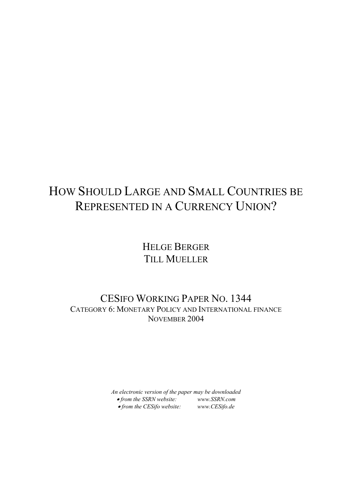# HOW SHOULD LARGE AND SMALL COUNTRIES BE REPRESENTED IN A CURRENCY UNION?

# HELGE BERGER TILL MUELLER

# CESIFO WORKING PAPER NO. 1344 CATEGORY 6: MONETARY POLICY AND INTERNATIONAL FINANCE NOVEMBER 2004

*An electronic version of the paper may be downloaded*  • *from the SSRN website: [www.SSRN.com](http://www.ssrn.com/)* • *from the CESifo website: www.CES[ifo.de](http://www.cesifo.de/)*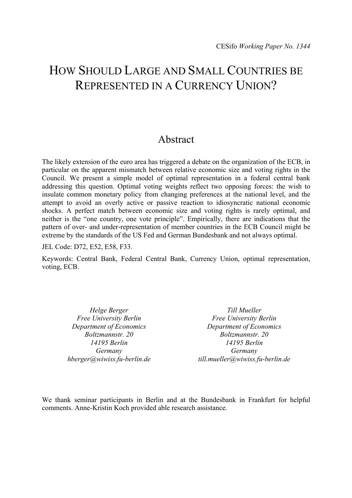# HOW SHOULD LARGE AND SMALL COUNTRIES BE REPRESENTED IN A CURRENCY UNION?

# Abstract

The likely extension of the euro area has triggered a debate on the organization of the ECB, in particular on the apparent mismatch between relative economic size and voting rights in the Council. We present a simple model of optimal representation in a federal central bank addressing this question. Optimal voting weights reflect two opposing forces: the wish to insulate common monetary policy from changing preferences at the national level, and the attempt to avoid an overly active or passive reaction to idiosyncratic national economic shocks. A perfect match between economic size and voting rights is rarely optimal, and neither is the "one country, one vote principle". Empirically, there are indications that the pattern of over- and under-representation of member countries in the ECB Council might be extreme by the standards of the US Fed and German Bundesbank and not always optimal.

JEL Code: D72, E52, E58, F33.

Keywords: Central Bank, Federal Central Bank, Currency Union, optimal representation, voting, ECB.

*Helge Berger Free University Berlin Department of Economics Boltzmannstr. 20 14195 Berlin Germany hberger@wiwiss.fu-berlin.de* 

*Till Mueller Free University Berlin Department of Economics Boltzmannstr. 20 14195 Berlin Germany till.mueller@wiwiss.fu-berlin.de* 

We thank seminar participants in Berlin and at the Bundesbank in Frankfurt for helpful comments. Anne-Kristin Koch provided able research assistance.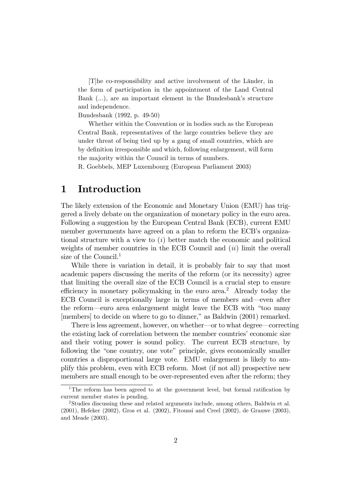[T]he co-responsibility and active involvement of the Länder, in the form of participation in the appointment of the Land Central Bank  $(...)$ , are an important element in the Bundesbank's structure and independence.

Bundesbank (1992, p. 49-50)

Whether within the Convention or in bodies such as the European Central Bank, representatives of the large countries believe they are under threat of being tied up by a gang of small countries, which are by definition irresponsible and which, following enlargement, will form the majority within the Council in terms of numbers.

R. Goebbels, MEP Luxembourg (European Parliament 2003)

## 1 Introduction

The likely extension of the Economic and Monetary Union (EMU) has triggered a lively debate on the organization of monetary policy in the euro area. Following a suggestion by the European Central Bank (ECB), current EMU member governments have agreed on a plan to reform the ECB's organizational structure with a view to  $(i)$  better match the economic and political weights of member countries in the ECB Council and  $(ii)$  limit the overall size of the Council.<sup>1</sup>

While there is variation in detail, it is probably fair to say that most academic papers discussing the merits of the reform (or its necessity) agree that limiting the overall size of the ECB Council is a crucial step to ensure efficiency in monetary policymaking in the euro area.<sup>2</sup> Already today the ECB Council is exceptionally large in terms of members and—even after the reform—euro area enlargement might leave the ECB with "too many [members] to decide on where to go to dinner," as Baldwin (2001) remarked.

There is less agreement, however, on whether—or to what degree—correcting the existing lack of correlation between the member countries' economic size and their voting power is sound policy. The current ECB structure, by following the "one country, one vote" principle, gives economically smaller countries a disproportional large vote. EMU enlargement is likely to amplify this problem, even with ECB reform. Most (if not all) prospective new members are small enough to be over-represented even after the reform; they

<sup>&</sup>lt;sup>1</sup>The reform has been agreed to at the government level, but formal ratification by current member states is pending.

<sup>2</sup>Studies discussing these and related arguments include, among others, Baldwin et al. (2001), Hefeker (2002), Gros et al. (2002), Fitoussi and Creel (2002), de Grauwe (2003), and Meade (2003).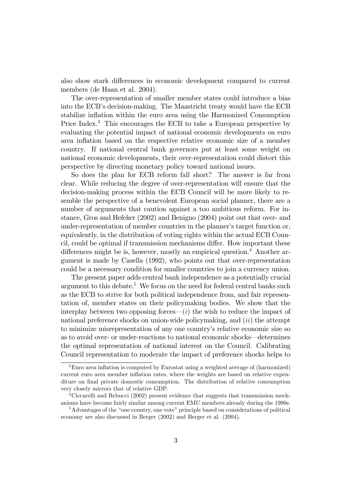also show stark differences in economic development compared to current members (de Haan et al. 2004).

The over-representation of smaller member states could introduce a bias into the ECB's decision-making. The Maastricht treaty would have the ECB stabilize inflation within the euro area using the Harmonized Consumption Price Index.<sup>3</sup> This encourages the ECB to take a European perspective by evaluating the potential impact of national economic developments on euro area ináation based on the respective relative economic size of a member country. If national central bank governors put at least some weight on national economic developments, their over-representation could distort this perspective by directing monetary policy toward national issues.

So does the plan for ECB reform fall short? The answer is far from clear. While reducing the degree of over-representation will ensure that the decision-making process within the ECB Council will be more likely to resemble the perspective of a benevolent European social planner, there are a number of arguments that caution against a too ambitious reform. For instance, Gros and Hefeker (2002) and Benigno (2004) point out that over- and under-representation of member countries in the planner's target function or, equivalently, in the distribution of voting rights within the actual ECB Council, could be optimal if transmission mechanisms differ. How important these differences might be is, however, mostly an empirical question.<sup>4</sup> Another argument is made by Casella (1992), who points out that over-representation could be a necessary condition for smaller countries to join a currency union.

The present paper adds central bank independence as a potentially crucial argument to this debate.<sup>5</sup> We focus on the need for federal central banks such as the ECB to strive for both political independence from, and fair representation of, member states on their policymaking bodies. We show that the interplay between two opposing forces— $(i)$  the wish to reduce the impact of national preference shocks on union-wide policymaking, and  $(ii)$  the attempt to minimize misrepresentation of any one countryís relative economic size so as to avoid over- or under-reactions to national economic shocks—determines the optimal representation of national interest on the Council. Calibrating Council representation to moderate the impact of preference shocks helps to

<sup>&</sup>lt;sup>3</sup>Euro area inflation is computed by Eurostat using a weighted average of (harmonized) current euro area member inflation rates, where the weights are based on relative expenditure on final private domestic consumption. The distribution of relative consumption very closely mirrors that of relative GDP.

<sup>4</sup>Ciccarelli and Rebucci (2002) present evidence that suggests that transmission mechanisms have become fairly similar among current EMU members already during the 1990s.

 $5A$ dvantages of the "one country, one vote" principle based on considerations of political economy are also discussed in Berger (2002) and Berger et al. (2004).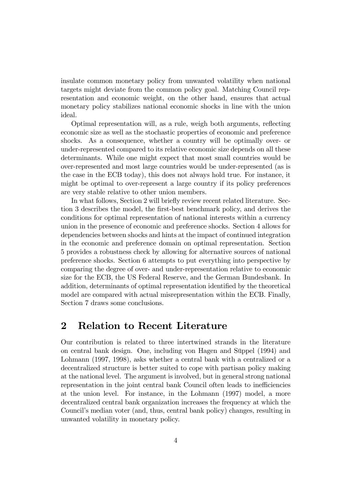insulate common monetary policy from unwanted volatility when national targets might deviate from the common policy goal. Matching Council representation and economic weight, on the other hand, ensures that actual monetary policy stabilizes national economic shocks in line with the union ideal.

Optimal representation will, as a rule, weigh both arguments, reflecting economic size as well as the stochastic properties of economic and preference shocks. As a consequence, whether a country will be optimally over- or under-represented compared to its relative economic size depends on all these determinants. While one might expect that most small countries would be over-represented and most large countries would be under-represented (as is the case in the ECB today), this does not always hold true. For instance, it might be optimal to over-represent a large country if its policy preferences are very stable relative to other union members.

In what follows, Section 2 will briefly review recent related literature. Section 3 describes the model, the first-best benchmark policy, and derives the conditions for optimal representation of national interests within a currency union in the presence of economic and preference shocks. Section 4 allows for dependencies between shocks and hints at the impact of continued integration in the economic and preference domain on optimal representation. Section 5 provides a robustness check by allowing for alternative sources of national preference shocks. Section 6 attempts to put everything into perspective by comparing the degree of over- and under-representation relative to economic size for the ECB, the US Federal Reserve, and the German Bundesbank. In addition, determinants of optimal representation identified by the theoretical model are compared with actual misrepresentation within the ECB. Finally, Section 7 draws some conclusions.

### 2 Relation to Recent Literature

Our contribution is related to three intertwined strands in the literature on central bank design. One, including von Hagen and Süppel (1994) and Lohmann (1997, 1998), asks whether a central bank with a centralized or a decentralized structure is better suited to cope with partisan policy making at the national level. The argument is involved, but in general strong national representation in the joint central bank Council often leads to inefficiencies at the union level. For instance, in the Lohmann (1997) model, a more decentralized central bank organization increases the frequency at which the Councilís median voter (and, thus, central bank policy) changes, resulting in unwanted volatility in monetary policy.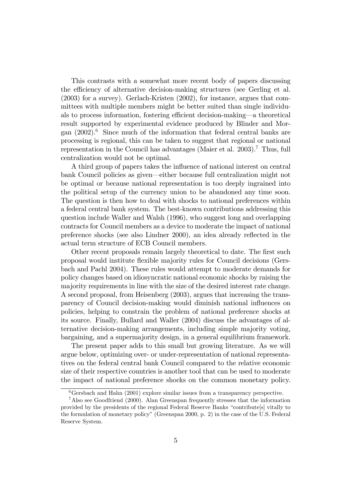This contrasts with a somewhat more recent body of papers discussing the efficiency of alternative decision-making structures (see Gerling et al. (2003) for a survey). Gerlach-Kristen (2002), for instance, argues that committees with multiple members might be better suited than single individuals to process information, fostering efficient decision-making—a theoretical result supported by experimental evidence produced by Blinder and Morgan  $(2002)$ .<sup>6</sup> Since much of the information that federal central banks are processing is regional, this can be taken to suggest that regional or national representation in the Council has advantages (Maier et al. 2003).<sup>7</sup> Thus, full centralization would not be optimal.

A third group of papers takes the influence of national interest on central bank Council policies as given—either because full centralization might not be optimal or because national representation is too deeply ingrained into the political setup of the currency union to be abandoned any time soon. The question is then how to deal with shocks to national preferences within a federal central bank system. The best-known contributions addressing this question include Waller and Walsh (1996), who suggest long and overlapping contracts for Council members as a device to moderate the impact of national preference shocks (see also Lindner 2000), an idea already reflected in the actual term structure of ECB Council members.

Other recent proposals remain largely theoretical to date. The first such proposal would institute áexible majority rules for Council decisions (Gersbach and Pachl 2004). These rules would attempt to moderate demands for policy changes based on idiosyncratic national economic shocks by raising the majority requirements in line with the size of the desired interest rate change. A second proposal, from Heisenberg (2003), argues that increasing the transparency of Council decision-making would diminish national ináuences on policies, helping to constrain the problem of national preference shocks at its source. Finally, Bullard and Waller (2004) discuss the advantages of alternative decision-making arrangements, including simple majority voting, bargaining, and a supermajority design, in a general equilibrium framework.

The present paper adds to this small but growing literature. As we will argue below, optimizing over- or under-representation of national representatives on the federal central bank Council compared to the relative economic size of their respective countries is another tool that can be used to moderate the impact of national preference shocks on the common monetary policy.

 ${}^{6}$ Gersbach and Hahn (2001) explore similar issues from a transparency perspective.

<sup>7</sup>Also see Goodfriend (2000). Alan Greenspan frequently stresses that the information provided by the presidents of the regional Federal Reserve Banks "contribute[s] vitally to the formulation of monetary policyî(Greenspan 2000, p. 2) in the case of the U.S. Federal Reserve System.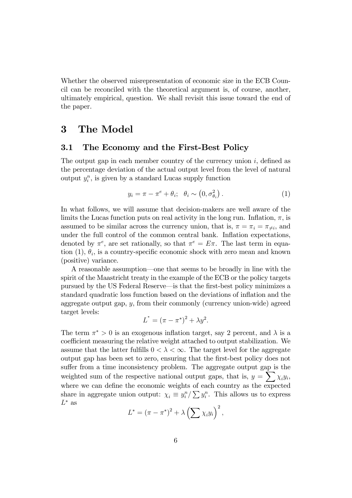Whether the observed misrepresentation of economic size in the ECB Council can be reconciled with the theoretical argument is, of course, another, ultimately empirical, question. We shall revisit this issue toward the end of the paper.

## 3 The Model

### 3.1 The Economy and the First-Best Policy

The output gap in each member country of the currency union  $i$ , defined as the percentage deviation of the actual output level from the level of natural output  $y_i^n$ , is given by a standard Lucas supply function

$$
y_i = \pi - \pi^e + \theta_i; \quad \theta_i \sim (0, \sigma_{\theta_i}^2).
$$
 (1)

In what follows, we will assume that decision-makers are well aware of the limits the Lucas function puts on real activity in the long run. Inflation,  $\pi$ , is assumed to be similar across the currency union, that is,  $\pi = \pi_i = \pi_{\neq i}$ , and under the full control of the common central bank. Inflation expectations, denoted by  $\pi^e$ , are set rationally, so that  $\pi^e = E \pi$ . The last term in equation  $(1)$ ,  $\theta_i$ , is a country-specific economic shock with zero mean and known (positive) variance.

A reasonable assumption—one that seems to be broadly in line with the spirit of the Maastricht treaty in the example of the ECB or the policy targets pursued by the US Federal Reserve—is that the first-best policy minimizes a standard quadratic loss function based on the deviations of inflation and the aggregate output gap, y, from their commonly (currency union-wide) agreed target levels:

$$
L^* = (\pi - \pi^*)^2 + \lambda y^2.
$$

The term  $\pi^* > 0$  is an exogenous inflation target, say 2 percent, and  $\lambda$  is a coefficient measuring the relative weight attached to output stabilization. We assume that the latter fulfills  $0 < \lambda < \infty$ . The target level for the aggregate output gap has been set to zero, ensuring that the first-best policy does not suffer from a time inconsistency problem. The aggregate output gap is the weighted sum of the respective national output gaps, that is,  $y = \sum_{i=1}^{n} \chi_i y_i$ , where we can define the economic weights of each country as the expected share in aggregate union output:  $\chi_i \equiv y_i^n / \sum y_i^n$ . This allows us to express  $L^*$  as

$$
L^* = (\pi - \pi^*)^2 + \lambda \left(\sum \chi_i y_i\right)^2,
$$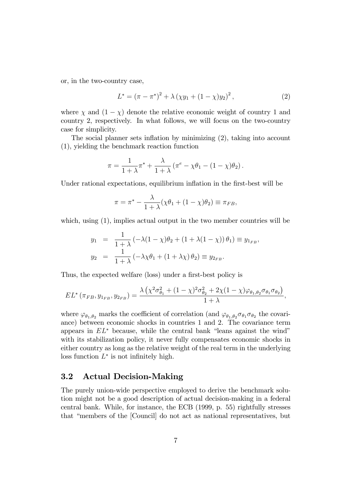or, in the two-country case,

$$
L^* = (\pi - \pi^*)^2 + \lambda \left(\chi y_1 + (1 - \chi)y_2\right)^2, \tag{2}
$$

where  $\chi$  and  $(1 - \chi)$  denote the relative economic weight of country 1 and country 2, respectively. In what follows, we will focus on the two-country case for simplicity.

The social planner sets inflation by minimizing  $(2)$ , taking into account (1), yielding the benchmark reaction function

$$
\pi = \frac{1}{1+\lambda}\pi^* + \frac{\lambda}{1+\lambda}(\pi^e - \chi\theta_1 - (1-\chi)\theta_2).
$$

Under rational expectations, equilibrium inflation in the first-best will be

$$
\pi = \pi^* - \frac{\lambda}{1 + \lambda} (\chi \theta_1 + (1 - \chi)\theta_2) \equiv \pi_{FB},
$$

which, using  $(1)$ , implies actual output in the two member countries will be

$$
y_1 = \frac{1}{1+\lambda} (-\lambda(1-\chi)\theta_2 + (1+\lambda(1-\chi))\theta_1) \equiv y_{1_{FB}},
$$
  

$$
y_2 = \frac{1}{1+\lambda} (-\lambda\chi\theta_1 + (1+\lambda\chi)\theta_2) \equiv y_{2_{FB}}.
$$

Thus, the expected welfare (loss) under a first-best policy is

$$
EL^*(\pi_{FB}, y_{1_{FB}}, y_{2_{FB}}) = \frac{\lambda \left( \chi^2 \sigma_{\theta_1}^2 + (1 - \chi)^2 \sigma_{\theta_2}^2 + 2\chi (1 - \chi) \varphi_{\theta_1, \theta_2} \sigma_{\theta_1} \sigma_{\theta_2} \right)}{1 + \lambda},
$$

where  $\varphi_{\theta_1,\theta_2}$  marks the coefficient of correlation (and  $\varphi_{\theta_1,\theta_2}\sigma_{\theta_1}\sigma_{\theta_2}$  the covariance) between economic shocks in countries 1 and 2. The covariance term appears in  $EL^*$  because, while the central bank "leans against the wind" with its stabilization policy, it never fully compensates economic shocks in either country as long as the relative weight of the real term in the underlying loss function  $L^*$  is not infinitely high.

### 3.2 Actual Decision-Making

The purely union-wide perspective employed to derive the benchmark solution might not be a good description of actual decision-making in a federal central bank. While, for instance, the ECB (1999, p. 55) rightfully stresses that "members of the [Council] do not act as national representatives, but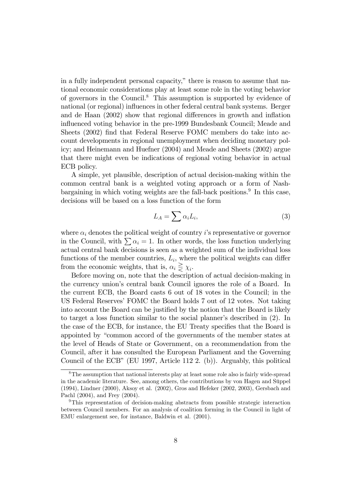in a fully independent personal capacity," there is reason to assume that national economic considerations play at least some role in the voting behavior of governors in the Council.<sup>8</sup> This assumption is supported by evidence of national (or regional) influences in other federal central bank systems. Berger and de Haan (2002) show that regional differences in growth and inflation influenced voting behavior in the pre-1999 Bundesbank Council; Meade and Sheets (2002) find that Federal Reserve FOMC members do take into account developments in regional unemployment when deciding monetary policy; and Heinemann and Huefner (2004) and Meade and Sheets (2002) argue that there might even be indications of regional voting behavior in actual ECB policy.

A simple, yet plausible, description of actual decision-making within the common central bank is a weighted voting approach or a form of Nashbargaining in which voting weights are the fall-back positions.<sup>9</sup> In this case, decisions will be based on a loss function of the form

$$
L_A = \sum \alpha_i L_i,\tag{3}
$$

where  $\alpha_i$  denotes the political weight of country i's representative or governor in the Council, with  $\sum \alpha_i = 1$ . In other words, the loss function underlying actual central bank decisions is seen as a weighted sum of the individual loss functions of the member countries,  $L_i$ , where the political weights can differ from the economic weights, that is,  $\alpha_i \geq \chi_i$ .

Before moving on, note that the description of actual decision-making in the currency union's central bank Council ignores the role of a Board. In the current ECB, the Board casts 6 out of 18 votes in the Council; in the US Federal Reserves' FOMC the Board holds 7 out of 12 votes. Not taking into account the Board can be justified by the notion that the Board is likely to target a loss function similar to the social planner's described in  $(2)$ . In the case of the ECB, for instance, the EU Treaty specifies that the Board is appointed by "common accord of the governments of the member states at the level of Heads of State or Government, on a recommendation from the Council, after it has consulted the European Parliament and the Governing Council of the ECB" (EU 1997, Article 112 2. (b)). Arguably, this political

<sup>8</sup>The assumption that national interests play at least some role also is fairly wide-spread in the academic literature. See, among others, the contributions by von Hagen and Süppel (1994), Lindner (2000), Aksoy et al. (2002), Gros and Hefeker (2002, 2003), Gersbach and Pachl (2004), and Frey (2004).

<sup>9</sup>This representation of decision-making abstracts from possible strategic interaction between Council members. For an analysis of coalition forming in the Council in light of EMU enlargement see, for instance, Baldwin et al. (2001).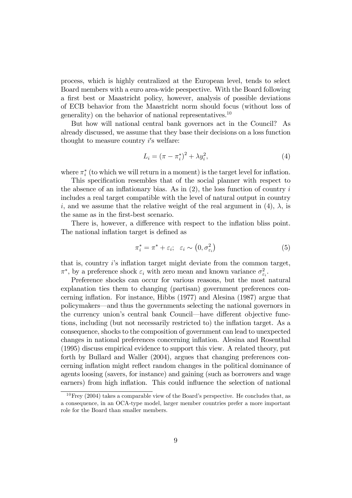process, which is highly centralized at the European level, tends to select Board members with a euro area-wide peespective. With the Board following a first best or Maastricht policy, however, analysis of possible deviations of ECB behavior from the Maastricht norm should focus (without loss of generality) on the behavior of national representatives.<sup>10</sup>

But how will national central bank governors act in the Council? As already discussed, we assume that they base their decisions on a loss function thought to measure country  $i$ 's welfare:

$$
L_i = (\pi - \pi_i^*)^2 + \lambda y_i^2,
$$
\n(4)

where  $\pi_i^*$  (to which we will return in a moment) is the target level for inflation.

This specification resembles that of the social planner with respect to the absence of an inflationary bias. As in  $(2)$ , the loss function of country i includes a real target compatible with the level of natural output in country i, and we assume that the relative weight of the real argument in (4),  $\lambda$ , is the same as in the first-best scenario.

There is, however, a difference with respect to the inflation bliss point. The national inflation target is defined as

$$
\pi_i^* = \pi^* + \varepsilon_i; \quad \varepsilon_i \sim (0, \sigma_{\varepsilon_i}^2) \tag{5}
$$

that is, country  $i$ 's inflation target might deviate from the common target,  $\pi^*$ , by a preference shock  $\varepsilon_i$  with zero mean and known variance  $\sigma_{\varepsilon_i}^2$ .

Preference shocks can occur for various reasons, but the most natural explanation ties them to changing (partisan) government preferences concerning inflation. For instance, Hibbs (1977) and Alesina (1987) argue that policymakers—and thus the governments selecting the national governors in the currency union's central bank Council—have different objective functions, including (but not necessarily restricted to) the inflation target. As a consequence, shocks to the composition of government can lead to unexpected changes in national preferences concerning ináation. Alesina and Rosenthal (1995) discuss empirical evidence to support this view. A related theory, put forth by Bullard and Waller (2004), argues that changing preferences concerning inflation might reflect random changes in the political dominance of agents loosing (savers, for instance) and gaining (such as borrowers and wage earners) from high inflation. This could influence the selection of national

 $10$  Frey (2004) takes a comparable view of the Board's perspective. He concludes that, as a consequence, in an OCA-type model, larger member countries prefer a more important role for the Board than smaller members.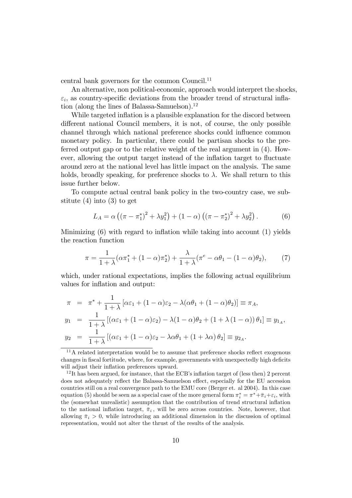central bank governors for the common Council.<sup>11</sup>

An alternative, non political-economic, approach would interpret the shocks,  $\varepsilon_i$ , as country-specific deviations from the broader trend of structural inflation (along the lines of Balassa-Samuelson).<sup>12</sup>

While targeted inflation is a plausible explanation for the discord between different national Council members, it is not, of course, the only possible channel through which national preference shocks could influence common monetary policy. In particular, there could be partisan shocks to the preferred output gap or to the relative weight of the real argument in (4). However, allowing the output target instead of the inflation target to fluctuate around zero at the national level has little impact on the analysis. The same holds, broadly speaking, for preference shocks to  $\lambda$ . We shall return to this issue further below.

To compute actual central bank policy in the two-country case, we substitute (4) into (3) to get

$$
L_A = \alpha \left( (\pi - \pi_1^*)^2 + \lambda y_1^2 \right) + (1 - \alpha) \left( (\pi - \pi_2^*)^2 + \lambda y_2^2 \right). \tag{6}
$$

Minimizing  $(6)$  with regard to inflation while taking into account  $(1)$  yields the reaction function

$$
\pi = \frac{1}{1+\lambda} (\alpha \pi_1^* + (1-\alpha)\pi_2^*) + \frac{\lambda}{1+\lambda} (\pi^e - \alpha \theta_1 - (1-\alpha)\theta_2),\tag{7}
$$

which, under rational expectations, implies the following actual equilibrium values for inflation and output:

$$
\pi = \pi^* + \frac{1}{1+\lambda} [\alpha \varepsilon_1 + (1-\alpha)\varepsilon_2 - \lambda(\alpha \theta_1 + (1-\alpha)\theta_2)] \equiv \pi_A,
$$
  
\n
$$
y_1 = \frac{1}{1+\lambda} [(\alpha \varepsilon_1 + (1-\alpha)\varepsilon_2) - \lambda(1-\alpha)\theta_2 + (1+\lambda(1-\alpha))\theta_1] \equiv y_{1_A},
$$
  
\n
$$
y_2 = \frac{1}{1+\lambda} [(\alpha \varepsilon_1 + (1-\alpha)\varepsilon_2 - \lambda \alpha \theta_1 + (1+\lambda \alpha)\theta_2] \equiv y_{2_A}.
$$

 $11$ A related interpretation would be to assume that preference shocks reflect exogenous changes in fiscal fortitude, where, for example, governments with unexpectedly high deficits will adjust their inflation preferences upward.

<sup>&</sup>lt;sup>12</sup>It has been argued, for instance, that the ECB's inflation target of (less then) 2 percent does not adequately reflect the Balassa-Samuelson effect, especially for the EU accession countries still on a real convergence path to the EMU core (Berger et. al 2004). In this case equation (5) should be seen as a special case of the more general form  $\pi_i^* = \pi^* + \bar{\pi}_i + \varepsilon_i$ , with the (somewhat unrealistic) assumption that the contribution of trend structural inflation to the national inflation target,  $\bar{\pi}_i$ , will be zero across countries. Note, however, that allowing  $\bar{\pi}_i > 0$ , while introducing an additional dimension in the discussion of optimal representation, would not alter the thrust of the results of the analysis.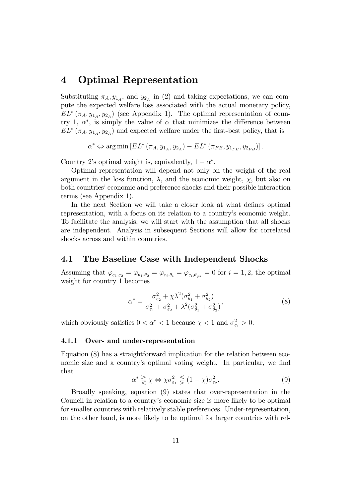### 4 Optimal Representation

Substituting  $\pi_A, y_{1_A}$ , and  $y_{2_A}$  in (2) and taking expectations, we can compute the expected welfare loss associated with the actual monetary policy,  $EL^*(\pi_A, y_{1_A}, y_{2_A})$  (see Appendix 1). The optimal representation of country 1,  $\alpha^*$ , is simply the value of  $\alpha$  that minimizes the difference between  $EL^*(\pi_A, y_{1_A}, y_{2_A})$  and expected welfare under the first-best policy, that is

 $\alpha^* \Leftrightarrow \arg \min \left[ EL^* \left( \pi_A, y_{1_A}, y_{2_A} \right) - EL^* \left( \pi_{FB}, y_{1_{FB}}, y_{2_{FB}} \right) \right].$ 

Country 2's optimal weight is, equivalently,  $1 - \alpha^*$ .

Optimal representation will depend not only on the weight of the real argument in the loss function,  $\lambda$ , and the economic weight,  $\chi$ , but also on both countries' economic and preference shocks and their possible interaction terms (see Appendix 1).

In the next Section we will take a closer look at what defines optimal representation, with a focus on its relation to a country's economic weight. To facilitate the analysis, we will start with the assumption that all shocks are independent. Analysis in subsequent Sections will allow for correlated shocks across and within countries.

### 4.1 The Baseline Case with Independent Shocks

Assuming that  $\varphi_{\varepsilon_1,\varepsilon_2} = \varphi_{\theta_1,\theta_2} = \varphi_{\varepsilon_i,\theta_i} = \varphi_{\varepsilon_i,\theta_{\neq i}} = 0$  for  $i = 1,2$ , the optimal weight for country 1 becomes

$$
\alpha^* = \frac{\sigma_{\varepsilon_2}^2 + \chi \lambda^2 (\sigma_{\theta_1}^2 + \sigma_{\theta_2}^2)}{\sigma_{\varepsilon_1}^2 + \sigma_{\varepsilon_2}^2 + \lambda^2 (\sigma_{\theta_1}^2 + \sigma_{\theta_2}^2)},
$$
\n(8)

which obviously satisfies  $0 < \alpha^* < 1$  because  $\chi < 1$  and  $\sigma_{\varepsilon_1}^2 > 0$ .

#### 4.1.1 Over- and under-representation

Equation (8) has a straightforward implication for the relation between economic size and a country's optimal voting weight. In particular, we find that

$$
\alpha^* \geq \chi \Leftrightarrow \chi \sigma_{\varepsilon_1}^2 \leq (1 - \chi) \sigma_{\varepsilon_2}^2. \tag{9}
$$

Broadly speaking, equation (9) states that over-representation in the Council in relation to a countryís economic size is more likely to be optimal for smaller countries with relatively stable preferences. Under-representation, on the other hand, is more likely to be optimal for larger countries with rel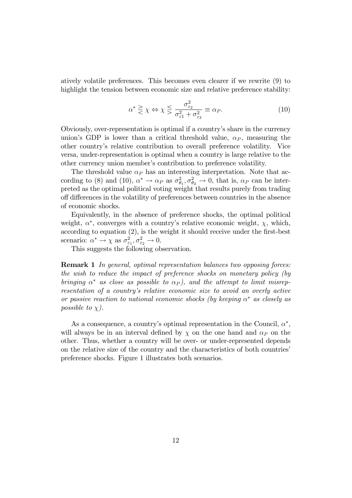atively volatile preferences. This becomes even clearer if we rewrite (9) to highlight the tension between economic size and relative preference stability:

$$
\alpha^* \ge \chi \Leftrightarrow \chi \le \frac{\sigma_{\varepsilon_2}^2}{\sigma_{\varepsilon_1}^2 + \sigma_{\varepsilon_2}^2} \equiv \alpha_P. \tag{10}
$$

Obviously, over-representation is optimal if a countryís share in the currency union's GDP is lower than a critical threshold value,  $\alpha_P$ , measuring the other countryís relative contribution to overall preference volatility. Vice versa, under-representation is optimal when a country is large relative to the other currency union member's contribution to preference volatility.

The threshold value  $\alpha_P$  has an interesting interpretation. Note that according to (8) and (10),  $\alpha^* \to \alpha_P$  as  $\sigma_{\theta_1}^2$ ,  $\sigma_{\theta_2}^2 \to 0$ , that is,  $\alpha_P$  can be interpreted as the optimal political voting weight that results purely from trading off differences in the volatility of preferences between countries in the absence of economic shocks.

Equivalently, in the absence of preference shocks, the optimal political weight,  $\alpha^*$ , converges with a country's relative economic weight,  $\chi$ , which, according to equation  $(2)$ , is the weight it should receive under the first-best scenario:  $\alpha^* \to \chi$  as  $\sigma_{\varepsilon_1}^2, \sigma_{\varepsilon_2}^2 \to 0$ .

This suggests the following observation.

**Remark 1** In general, optimal representation balances two opposing forces: the wish to reduce the impact of preference shocks on monetary policy (by bringing  $\alpha^*$  as close as possible to  $\alpha_P$ ), and the attempt to limit misrepresentation of a countryís relative economic size to avoid an overly active or passive reaction to national economic shocks (by keeping  $\alpha^*$  as closely as possible to  $\chi$ ).

As a consequence, a country's optimal representation in the Council,  $\alpha^*$ , will always be in an interval defined by  $\chi$  on the one hand and  $\alpha_P$  on the other. Thus, whether a country will be over- or under-represented depends on the relative size of the country and the characteristics of both countries<sup>7</sup> preference shocks. Figure 1 illustrates both scenarios.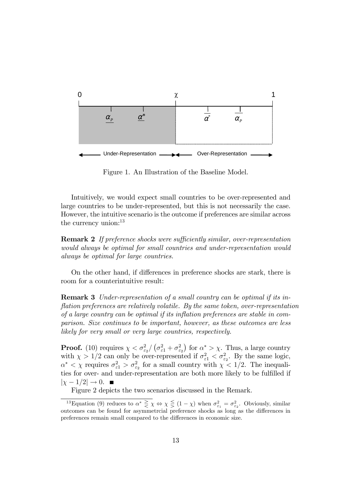

Figure 1. An Illustration of the Baseline Model.

Intuitively, we would expect small countries to be over-represented and large countries to be under-represented, but this is not necessarily the case. However, the intuitive scenario is the outcome if preferences are similar across the currency union:<sup>13</sup>

**Remark 2** If preference shocks were sufficiently similar, over-representation would always be optimal for small countries and under-representation would always be optimal for large countries.

On the other hand, if differences in preference shocks are stark, there is room for a counterintuitive result:

Remark 3 Under-representation of a small country can be optimal if its inflation preferences are relatively volatile. By the same token, over-representation of a large country can be optimal if its inflation preferences are stable in comparison. Size continues to be important, however, as these outcomes are less likely for very small or very large countries, respectively.

**Proof.** (10) requires  $\chi < \sigma_{\epsilon_2}^2 / (\sigma_{\epsilon_1}^2 + \sigma_{\epsilon_2}^2)$  for  $\alpha^* > \chi$ . Thus, a large country with  $\chi > 1/2$  can only be over-represented if  $\sigma_{\varepsilon_1}^2 < \sigma_{\varepsilon_2}^2$ . By the same logic,  $\alpha^* < \chi$  requires  $\sigma_{\varepsilon_1}^2 > \sigma_{\varepsilon_2}^2$  for a small country with  $\chi < 1/2$ . The inequalities for over- and under-representation are both more likely to be fulfilled if  $|\chi - 1/2| \rightarrow 0$ .

Figure 2 depicts the two scenarios discussed in the Remark.

<sup>&</sup>lt;sup>13</sup>Equation (9) reduces to  $\alpha^* \geq \chi \Leftrightarrow \chi \leq (1 - \chi)$  when  $\sigma_{\epsilon_1}^2 = \sigma_{\epsilon_2}^2$ . Obviously, similar outcomes can be found for asymmetrcial preference shocks as long as the differences in preferences remain small compared to the differences in economic size.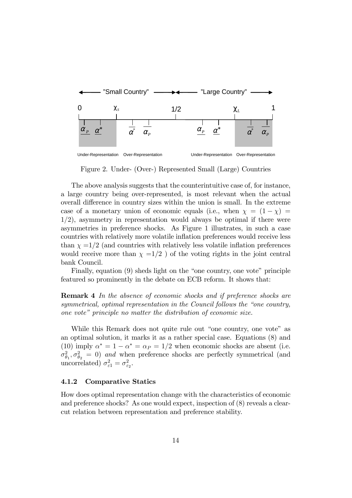

Figure 2. Under- (Over-) Represented Small (Large) Countries

The above analysis suggests that the counterintuitive case of, for instance, a large country being over-represented, is most relevant when the actual overall difference in country sizes within the union is small. In the extreme case of a monetary union of economic equals (i.e., when  $\chi = (1 - \chi)$ )  $1/2$ , asymmetry in representation would always be optimal if there were asymmetries in preference shocks. As Figure 1 illustrates, in such a case countries with relatively more volatile inflation preferences would receive less than  $\chi =1/2$  (and countries with relatively less volatile inflation preferences would receive more than  $\chi =1/2$  ) of the voting rights in the joint central bank Council.

Finally, equation  $(9)$  sheds light on the "one country, one vote" principle featured so prominently in the debate on ECB reform. It shows that:

**Remark 4** In the absence of economic shocks and if preference shocks are symmetrical, optimal representation in the Council follows the "one country, one vote" principle no matter the distribution of economic size.

While this Remark does not quite rule out "one country, one vote" as an optimal solution, it marks it as a rather special case. Equations (8) and (10) imply  $\alpha^* = 1 - \alpha^* = \alpha_P = 1/2$  when economic shocks are absent (i.e.  $\sigma_{\theta_1}^2$ ,  $\sigma_{\theta_2}^2 = 0$ ) and when preference shocks are perfectly symmetrical (and uncorrelated)  $\sigma_{\varepsilon 1}^2 = \sigma_{\varepsilon_2}^2$ .

#### 4.1.2 Comparative Statics

How does optimal representation change with the characteristics of economic and preference shocks? As one would expect, inspection of (8) reveals a clearcut relation between representation and preference stability.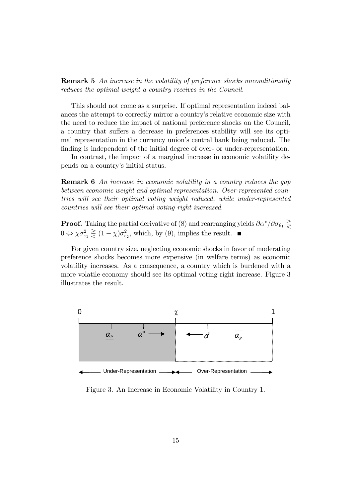**Remark 5** An increase in the volatility of preference shocks unconditionally reduces the optimal weight a country receives in the Council.

This should not come as a surprise. If optimal representation indeed balances the attempt to correctly mirror a country's relative economic size with the need to reduce the impact of national preference shocks on the Council, a country that suffers a decrease in preferences stability will see its optimal representation in the currency union's central bank being reduced. The finding is independent of the initial degree of over- or under-representation.

In contrast, the impact of a marginal increase in economic volatility depends on a country's initial status.

**Remark 6** An increase in economic volatility in a country reduces the gap between economic weight and optimal representation. Over-represented countries will see their optimal voting weight reduced, while under-represented countries will see their optimal voting right increased.

**Proof.** Taking the partial derivative of (8) and rearranging yields  $\partial \alpha^* / \partial \sigma_{\theta_1} \ge$  $0 \Leftrightarrow \chi \sigma_{\varepsilon_1}^2 \gtrless (1-\chi) \sigma_{\varepsilon_2}^2$ , which, by (9), implies the result.

For given country size, neglecting economic shocks in favor of moderating preference shocks becomes more expensive (in welfare terms) as economic volatility increases. As a consequence, a country which is burdened with a more volatile economy should see its optimal voting right increase. Figure 3 illustrates the result.



Figure 3. An Increase in Economic Volatility in Country 1.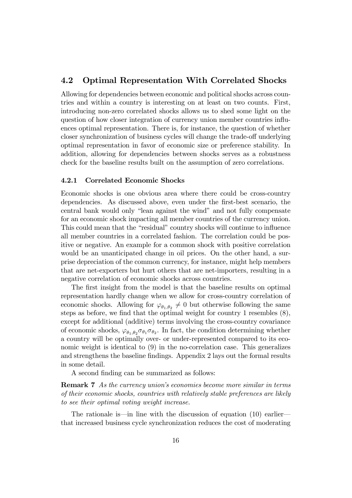### 4.2 Optimal Representation With Correlated Shocks

Allowing for dependencies between economic and political shocks across countries and within a country is interesting on at least on two counts. First, introducing non-zero correlated shocks allows us to shed some light on the question of how closer integration of currency union member countries ináuences optimal representation. There is, for instance, the question of whether closer synchronization of business cycles will change the trade-off underlying optimal representation in favor of economic size or preference stability. In addition, allowing for dependencies between shocks serves as a robustness check for the baseline results built on the assumption of zero correlations.

### 4.2.1 Correlated Economic Shocks

Economic shocks is one obvious area where there could be cross-country dependencies. As discussed above, even under the first-best scenario, the central bank would only "lean against the wind" and not fully compensate for an economic shock impacting all member countries of the currency union. This could mean that the "residual" country shocks will continue to influence all member countries in a correlated fashion. The correlation could be positive or negative. An example for a common shock with positive correlation would be an unanticipated change in oil prices. On the other hand, a surprise depreciation of the common currency, for instance, might help members that are net-exporters but hurt others that are net-importers, resulting in a negative correlation of economic shocks across countries.

The first insight from the model is that the baseline results on optimal representation hardly change when we allow for cross-country correlation of economic shocks. Allowing for  $\varphi_{\theta_1,\theta_2} \neq 0$  but otherwise following the same steps as before, we find that the optimal weight for country 1 resembles  $(8)$ , except for additional (additive) terms involving the cross-country covariance of economic shocks,  $\varphi_{\theta_1,\theta_2}\sigma_{\theta_1}\sigma_{\theta_2}$ . In fact, the condition determining whether a country will be optimally over- or under-represented compared to its economic weight is identical to (9) in the no-correlation case. This generalizes and strengthens the baseline findings. Appendix 2 lays out the formal results in some detail.

A second finding can be summarized as follows:

**Remark 7** As the currency union's economies become more similar in terms of their economic shocks, countries with relatively stable preferences are likely to see their optimal voting weight increase.

The rationale is in line with the discussion of equation  $(10)$  earlier that increased business cycle synchronization reduces the cost of moderating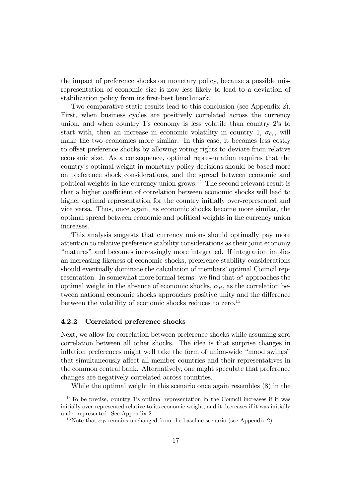the impact of preference shocks on monetary policy, because a possible misrepresentation of economic size is now less likely to lead to a deviation of stabilization policy from its first-best benchmark.

Two comparative-static results lead to this conclusion (see Appendix 2). First, when business cycles are positively correlated across the currency union, and when country  $1$ 's economy is less volatile than country  $2$ 's to start with, then an increase in economic volatility in country 1,  $\sigma_{\theta_1}$ , will make the two economies more similar. In this case, it becomes less costly to offset preference shocks by allowing voting rights to deviate from relative economic size. As a consequence, optimal representation requires that the countryís optimal weight in monetary policy decisions should be based more on preference shock considerations, and the spread between economic and political weights in the currency union grows.<sup>14</sup> The second relevant result is that a higher coefficient of correlation between economic shocks will lead to higher optimal representation for the country initially over-represented and vice versa. Thus, once again, as economic shocks become more similar, the optimal spread between economic and political weights in the currency union increases.

This analysis suggests that currency unions should optimally pay more attention to relative preference stability considerations as their joint economy ìmaturesî and becomes increasingly more integrated. If integration implies an increasing likeness of economic shocks, preference stability considerations should eventually dominate the calculation of members' optimal Council representation. In somewhat more formal terms: we find that  $\alpha^*$  approaches the optimal weight in the absence of economic shocks,  $\alpha_P$ , as the correlation between national economic shocks approaches positive unity and the difference between the volatility of economic shocks reduces to zero.<sup>15</sup>

### 4.2.2 Correlated preference shocks

Next, we allow for correlation between preference shocks while assuming zero correlation between all other shocks. The idea is that surprise changes in inflation preferences might well take the form of union-wide "mood swings" that simultaneously affect all member countries and their representatives in the common central bank. Alternatively, one might speculate that preference changes are negatively correlated across countries.

While the optimal weight in this scenario once again resembles (8) in the

 $14$ To be precise, country 1's optimal representation in the Council increases if it was initially over-represented relative to its economic weight, and it decreases if it was initially under-represented. See Appendix 2.

<sup>&</sup>lt;sup>15</sup>Note that  $\alpha_P$  remains unchanged from the baseline scenario (see Appendix 2).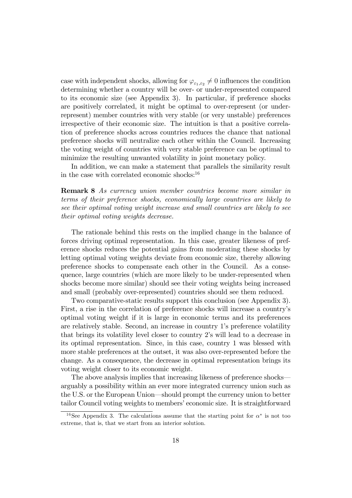case with independent shocks, allowing for  $\varphi_{\varepsilon_1,\varepsilon_2} \neq 0$  influences the condition determining whether a country will be over- or under-represented compared to its economic size (see Appendix 3). In particular, if preference shocks are positively correlated, it might be optimal to over-represent (or underrepresent) member countries with very stable (or very unstable) preferences irrespective of their economic size. The intuition is that a positive correlation of preference shocks across countries reduces the chance that national preference shocks will neutralize each other within the Council. Increasing the voting weight of countries with very stable preference can be optimal to minimize the resulting unwanted volatility in joint monetary policy.

In addition, we can make a statement that parallels the similarity result in the case with correlated economic shocks:<sup>16</sup>

Remark 8 As currency union member countries become more similar in terms of their preference shocks, economically large countries are likely to see their optimal voting weight increase and small countries are likely to see their optimal voting weights decrease.

The rationale behind this rests on the implied change in the balance of forces driving optimal representation. In this case, greater likeness of preference shocks reduces the potential gains from moderating these shocks by letting optimal voting weights deviate from economic size, thereby allowing preference shocks to compensate each other in the Council. As a consequence, large countries (which are more likely to be under-represented when shocks become more similar) should see their voting weights being increased and small (probably over-represented) countries should see them reduced.

Two comparative-static results support this conclusion (see Appendix 3). First, a rise in the correlation of preference shocks will increase a countryís optimal voting weight if it is large in economic terms and its preferences are relatively stable. Second, an increase in country 1's preference volatility that brings its volatility level closer to country 2ís will lead to a decrease in its optimal representation. Since, in this case, country 1 was blessed with more stable preferences at the outset, it was also over-represented before the change. As a consequence, the decrease in optimal representation brings its voting weight closer to its economic weight.

The above analysis implies that increasing likeness of preference shocks arguably a possibility within an ever more integrated currency union such as the U.S. or the European Union—should prompt the currency union to better tailor Council voting weights to members' economic size. It is straightforward

<sup>&</sup>lt;sup>16</sup>See Appendix 3. The calculations assume that the starting point for  $\alpha^*$  is not too extreme, that is, that we start from an interior solution.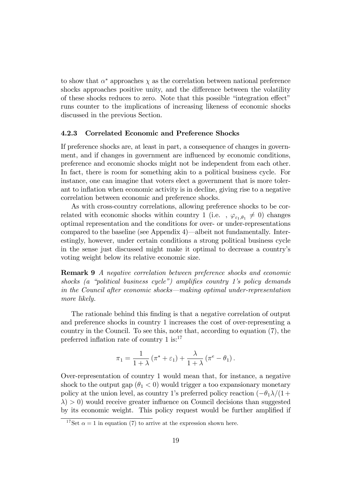to show that  $\alpha^*$  approaches  $\chi$  as the correlation between national preference shocks approaches positive unity, and the difference between the volatility of these shocks reduces to zero. Note that this possible "integration effect" runs counter to the implications of increasing likeness of economic shocks discussed in the previous Section.

### 4.2.3 Correlated Economic and Preference Shocks

If preference shocks are, at least in part, a consequence of changes in government, and if changes in government are influenced by economic conditions, preference and economic shocks might not be independent from each other. In fact, there is room for something akin to a political business cycle. For instance, one can imagine that voters elect a government that is more tolerant to inflation when economic activity is in decline, giving rise to a negative correlation between economic and preference shocks.

As with cross-country correlations, allowing preference shocks to be correlated with economic shocks within country 1 (i.e.,  $\varphi_{\varepsilon_1,\theta_1} \neq 0$ ) changes optimal representation and the conditions for over- or under-representations compared to the baseline (see Appendix 4)—albeit not fundamentally. Interestingly, however, under certain conditions a strong political business cycle in the sense just discussed might make it optimal to decrease a countryís voting weight below its relative economic size.

Remark 9 A negative correlation between preference shocks and economic shocks (a "political business cycle") amplifies country 1's policy demands in the Council after economic shocks—making optimal under-representation more likely.

The rationale behind this Önding is that a negative correlation of output and preference shocks in country 1 increases the cost of over-representing a country in the Council. To see this, note that, according to equation (7), the preferred inflation rate of country  $1 \text{ is:}^{17}$ 

$$
\pi_1 = \frac{1}{1+\lambda} \left( \pi^* + \varepsilon_1 \right) + \frac{\lambda}{1+\lambda} \left( \pi^e - \theta_1 \right).
$$

Over-representation of country 1 would mean that, for instance, a negative shock to the output gap  $(\theta_1 < 0)$  would trigger a too expansionary monetary policy at the union level, as country 1's preferred policy reaction  $(-\theta_1 \lambda/(1 +$  $\lambda$ ) > 0) would receive greater influence on Council decisions than suggested by its economic weight. This policy request would be further amplified if

<sup>&</sup>lt;sup>17</sup>Set  $\alpha = 1$  in equation (7) to arrive at the expression shown here.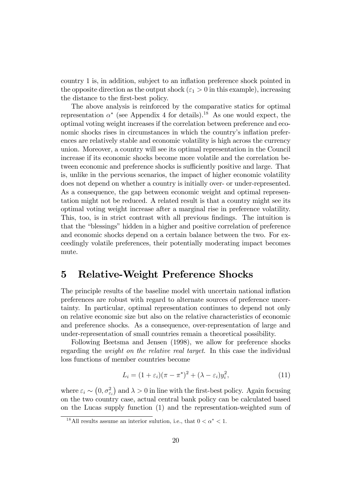country 1 is, in addition, subject to an ináation preference shock pointed in the opposite direction as the output shock ( $\varepsilon_1 > 0$  in this example), increasing the distance to the first-best policy.

The above analysis is reinforced by the comparative statics for optimal representation  $\alpha^*$  (see Appendix 4 for details).<sup>18</sup> As one would expect, the optimal voting weight increases if the correlation between preference and economic shocks rises in circumstances in which the country's inflation preferences are relatively stable and economic volatility is high across the currency union. Moreover, a country will see its optimal representation in the Council increase if its economic shocks become more volatile and the correlation between economic and preference shocks is sufficiently positive and large. That is, unlike in the pervious scenarios, the impact of higher economic volatility does not depend on whether a country is initially over- or under-represented. As a consequence, the gap between economic weight and optimal representation might not be reduced. A related result is that a country might see its optimal voting weight increase after a marginal rise in preference volatility. This, too, is in strict contrast with all previous findings. The intuition is that the "blessings" hidden in a higher and positive correlation of preference and economic shocks depend on a certain balance between the two. For exceedingly volatile preferences, their potentially moderating impact becomes mute.

### 5 Relative-Weight Preference Shocks

The principle results of the baseline model with uncertain national inflation preferences are robust with regard to alternate sources of preference uncertainty. In particular, optimal representation continues to depend not only on relative economic size but also on the relative characteristics of economic and preference shocks. As a consequence, over-representation of large and under-representation of small countries remain a theoretical possibility.

Following Beetsma and Jensen (1998), we allow for preference shocks regarding the weight on the relative real target. In this case the individual loss functions of member countries become

$$
L_i = (1 + \varepsilon_i)(\pi - \pi^*)^2 + (\lambda - \varepsilon_i)y_i^2, \tag{11}
$$

where  $\varepsilon_i \sim (0, \sigma_{\varepsilon_i}^2)$  and  $\lambda > 0$  in line with the first-best policy. Again focusing on the two country case, actual central bank policy can be calculated based on the Lucas supply function (1) and the representation-weighted sum of

<sup>&</sup>lt;sup>18</sup>All results assume an interior sulution, i.e., that  $0 < \alpha^* < 1$ .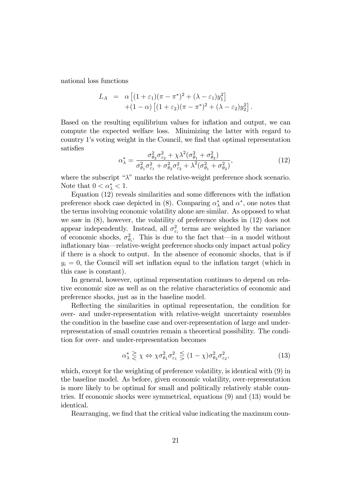national loss functions

$$
L_A = \alpha \left[ (1 + \varepsilon_1)(\pi - \pi^*)^2 + (\lambda - \varepsilon_1)y_1^2 \right] + (1 - \alpha) \left[ (1 + \varepsilon_2)(\pi - \pi^*)^2 + (\lambda - \varepsilon_2)y_2^2 \right].
$$

Based on the resulting equilibrium values for inflation and output, we can compute the expected welfare loss. Minimizing the latter with regard to country 1's voting weight in the Council, we find that optimal representation satisfies

$$
\alpha_{\lambda}^{*} = \frac{\sigma_{\theta_2}^{2} \sigma_{\varepsilon_2}^{2} + \chi \lambda^{2} (\sigma_{\theta_1}^{2} + \sigma_{\theta_2}^{2})}{\sigma_{\theta_1}^{2} \sigma_{\varepsilon_1}^{2} + \sigma_{\theta_2}^{2} \sigma_{\varepsilon_2}^{2} + \lambda^{2} (\sigma_{\theta_1}^{2} + \sigma_{\theta_2}^{2})},
$$
\n(12)

where the subscript " $\lambda$ " marks the relative-weight preference shock scenario. Note that  $0 < \alpha_{\lambda}^* < 1$ .

Equation  $(12)$  reveals similarities and some differences with the inflation preference shock case depicted in (8). Comparing  $\alpha_{\lambda}^{*}$  and  $\alpha^{*}$ , one notes that the terms involving economic volatility alone are similar. As opposed to what we saw in (8), however, the volatility of preference shocks in (12) does not appear independently. Instead, all  $\sigma_{\varepsilon_i}^2$  terms are weighted by the variance of economic shocks,  $\sigma_{\theta_i}^2$ . This is due to the fact that—in a model without inflationary bias—relative-weight preference shocks only impact actual policy if there is a shock to output. In the absence of economic shocks, that is if  $y_i = 0$ , the Council will set inflation equal to the inflation target (which in this case is constant).

In general, however, optimal representation continues to depend on relative economic size as well as on the relative characteristics of economic and preference shocks, just as in the baseline model.

Reflecting the similarities in optimal representation, the condition for over- and under-representation with relative-weight uncertainty resembles the condition in the baseline case and over-representation of large and underrepresentation of small countries remain a theoretical possibility. The condition for over- and under-representation becomes

$$
\alpha_{\lambda}^{*} \geq \chi \Leftrightarrow \chi \sigma_{\theta_1}^{2} \sigma_{\varepsilon_1}^{2} \leq (1 - \chi) \sigma_{\theta_2}^{2} \sigma_{\varepsilon_2}^{2},\tag{13}
$$

which, except for the weighting of preference volatility, is identical with (9) in the baseline model. As before, given economic volatility, over-representation is more likely to be optimal for small and politically relatively stable countries. If economic shocks were symmetrical, equations (9) and (13) would be identical.

Rearranging, we find that the critical value indicating the maximum coun-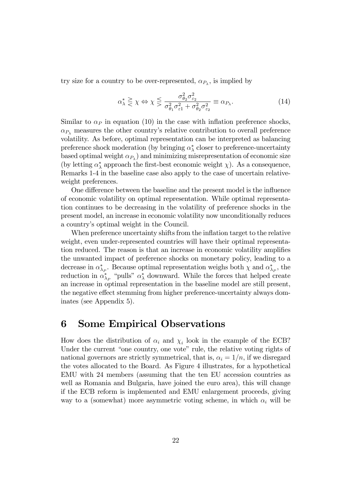try size for a country to be over-represented,  $\alpha_{P_{\lambda}}$ , is implied by

$$
\alpha_{\lambda}^{*} \geq \chi \Leftrightarrow \chi \leq \frac{\sigma_{\theta_2}^{2} \sigma_{\varepsilon_2}^{2}}{\sigma_{\theta_1}^{2} \sigma_{\varepsilon_1}^{2} + \sigma_{\theta_2}^{2} \sigma_{\varepsilon_2}^{2}} \equiv \alpha_{P_{\lambda}}.
$$
\n(14)

Similar to  $\alpha_P$  in equation (10) in the case with inflation preference shocks,  $\alpha_{P_1}$  measures the other country's relative contribution to overall preference volatility. As before, optimal representation can be interpreted as balancing preference shock moderation (by bringing  $\alpha_{\lambda}^{*}$  closer to preference-uncertainty based optimal weight  $\alpha_{P_{\lambda}}$  and minimizing misrepresentation of economic size (by letting  $\alpha_{\lambda}^{*}$  approach the first-best economic weight  $\chi$ ). As a consequence, Remarks 1-4 in the baseline case also apply to the case of uncertain relativeweight preferences.

One difference between the baseline and the present model is the influence of economic volatility on optimal representation. While optimal representation continues to be decreasing in the volatility of preference shocks in the present model, an increase in economic volatility now unconditionally reduces a countryís optimal weight in the Council.

When preference uncertainty shifts from the inflation target to the relative weight, even under-represented countries will have their optimal representation reduced. The reason is that an increase in economic volatility amplifies the unwanted impact of preference shocks on monetary policy, leading to a decrease in  $\alpha_{\lambda_P}^*$ . Because optimal representation weighs both  $\chi$  and  $\alpha_{\lambda_P}^*$ , the reduction in  $\alpha_{\lambda_P}^*$  "pulls"  $\alpha_{\lambda}^*$  downward. While the forces that helped create an increase in optimal representation in the baseline model are still present, the negative effect stemming from higher preference-uncertainty always dominates (see Appendix 5).

# 6 Some Empirical Observations

How does the distribution of  $\alpha_i$  and  $\chi_i$  look in the example of the ECB? Under the current "one country, one vote" rule, the relative voting rights of national governors are strictly symmetrical, that is,  $\alpha_i = 1/n$ , if we disregard the votes allocated to the Board. As Figure 4 illustrates, for a hypothetical EMU with 24 members (assuming that the ten EU accession countries as well as Romania and Bulgaria, have joined the euro area), this will change if the ECB reform is implemented and EMU enlargement proceeds, giving way to a (somewhat) more asymmetric voting scheme, in which  $\alpha_i$  will be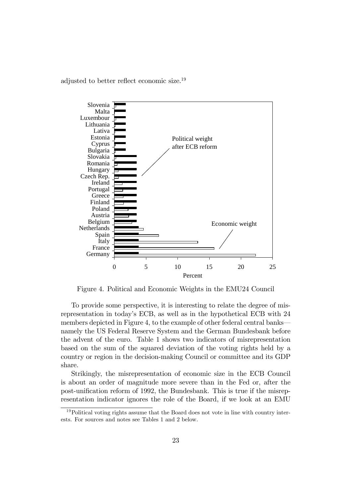adjusted to better reflect economic size.<sup>19</sup>



Figure 4. Political and Economic Weights in the EMU24 Council

To provide some perspective, it is interesting to relate the degree of misrepresentation in today's ECB, as well as in the hypothetical ECB with 24 members depicted in Figure 4, to the example of other federal central banks namely the US Federal Reserve System and the German Bundesbank before the advent of the euro. Table 1 shows two indicators of misrepresentation based on the sum of the squared deviation of the voting rights held by a country or region in the decision-making Council or committee and its GDP share.

Strikingly, the misrepresentation of economic size in the ECB Council is about an order of magnitude more severe than in the Fed or, after the post-unification reform of 1992, the Bundesbank. This is true if the misrepresentation indicator ignores the role of the Board, if we look at an EMU

 $19$ Political voting rights assume that the Board does not vote in line with country interests. For sources and notes see Tables 1 and 2 below.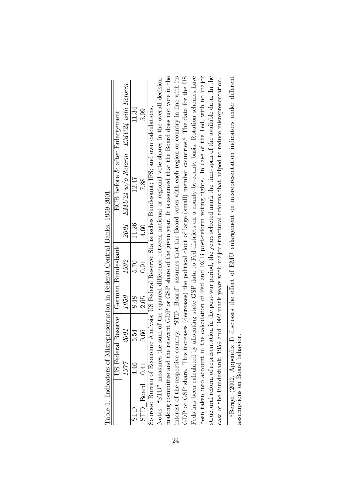|                  |      | ĺ                    |                                                              |                                |       |                                |                       |
|------------------|------|----------------------|--------------------------------------------------------------|--------------------------------|-------|--------------------------------|-----------------------|
|                  |      |                      |                                                              | al Reserve   German Bundesbank |       | ECB before & after Enlargement |                       |
|                  | 1977 | 2001                 | 1959                                                         | 1992                           | 2001  | $EMU24$ $w/o$ $Reform$         | $EMU24$ with $Reform$ |
|                  |      | 5.54                 | 8.48                                                         | 5.70                           | 11.26 | 12.47                          | 11.34                 |
| $P$ $R$<br>STD P | 0.41 | 0.66                 | 2.65                                                         | 0.91                           | 4.60  | 7.88                           | 5.99                  |
|                  |      | $\ddot{\phantom{a}}$ | - こうしょう こうしょう しょうかん しょうせい しゅうしょう しょうせい しょうせい しゅうしゅう しょうせいしゅう | Ì                              |       | i<br> <br>                     |                       |

Table 1. Indicators of Misrepresentation in Federal Central Banks, 1959-2001 Table 1. Indicators of Misrepresentation in Federal Central Banks, 1959-2001

making committee and the relevant GDP or GSP share of the given year. It is assumed that the Board does not vote in the Feds has been calculated by allocating state GSP data to Fed districts on a county-by-county basis. Rotation schemes have been taken into account in the calculation of Fed and ECB post-reform voting rights. In case of the Fed, with no major structural reform of representation in the post-war period, the years selected mark the time-span of the available data. In the Notes: "STD" measures the sum of the squared difference between national or regional vote shares in the overall decisionmaking committee and the relevant GDP or GSP share of the given year. It is assumed that the Board does not vote in the interest of the respective country. "STD Board" assumes that the Board votes with each region or country in line with its interest of the respective country. "STD  $_{\text{Board}}$  assumes that the Board votes with each region or country in line with its GDP or GSP share. This increases (decreases) the political clout of large (small) member countries.<sup>*a*</sup> The data for the US Feds has been calculated by allocating state GSP data to Fed districts on a county-by-county basis. Rotation schemes have been taken into account in the calculation of Fed and ECB post-reform voting rights. In case of the Fed, with no major structural reform of representation in the post-war period, the years selected mark the time-span of the available data. In the Notes: "STD" measures the sum of the squared difference between national or regional vote shares in the overall decision- The data for the US case of the Bundesbank, 1959 and 1992 mark years with major structural reforms that helped to reduce misrepresentation. case of the Bundesbank, 1959 and 1992 mark years with major structural reforms that helped to reduce misrepresentation. Sources: Bureau of Economic Analysis; US Federal Reserve; Statistisches Bundesamt; IFS; and own calculations. Sources: Bureau of Economic Analysis; US Federal Reserve; Statistisches Bundesamt; IFS; and own calculations. GDP or GSP share. This increases (decreases) the political clout of large (small) member countries.

"Berger (2002, Appendix I) discusses the effect of EMU enlargement on misrepresentation indicators under different <sup>a</sup>Berger (2002, Appendix I) discusses the effect of EMU enlargement on misrepresentation indicators under different assumptions on Board behavior. assumptions on Board behavior.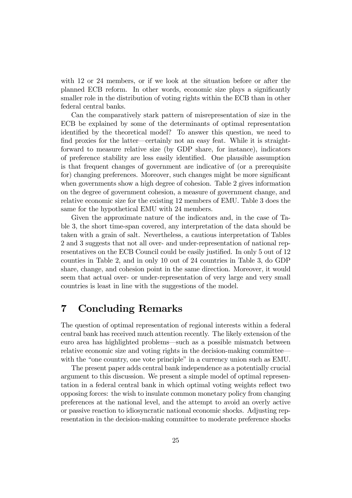with 12 or 24 members, or if we look at the situation before or after the planned ECB reform. In other words, economic size plays a significantly smaller role in the distribution of voting rights within the ECB than in other federal central banks.

Can the comparatively stark pattern of misrepresentation of size in the ECB be explained by some of the determinants of optimal representation identified by the theoretical model? To answer this question, we need to find proxies for the latter—certainly not an easy feat. While it is straightforward to measure relative size (by GDP share, for instance), indicators of preference stability are less easily identified. One plausible assumption is that frequent changes of government are indicative of (or a prerequisite for) changing preferences. Moreover, such changes might be more significant when governments show a high degree of cohesion. Table 2 gives information on the degree of government cohesion, a measure of government change, and relative economic size for the existing 12 members of EMU. Table 3 does the same for the hypothetical EMU with 24 members.

Given the approximate nature of the indicators and, in the case of Table 3, the short time-span covered, any interpretation of the data should be taken with a grain of salt. Nevertheless, a cautious interpretation of Tables 2 and 3 suggests that not all over- and under-representation of national representatives on the ECB Council could be easily justified. In only 5 out of 12 counties in Table 2, and in only 10 out of 24 countries in Table 3, do GDP share, change, and cohesion point in the same direction. Moreover, it would seem that actual over- or under-representation of very large and very small countries is least in line with the suggestions of the model.

# 7 Concluding Remarks

The question of optimal representation of regional interests within a federal central bank has received much attention recently. The likely extension of the euro area has highlighted problems—such as a possible mismatch between relative economic size and voting rights in the decision-making committee with the "one country, one vote principle" in a currency union such as EMU.

The present paper adds central bank independence as a potentially crucial argument to this discussion. We present a simple model of optimal representation in a federal central bank in which optimal voting weights reflect two opposing forces: the wish to insulate common monetary policy from changing preferences at the national level, and the attempt to avoid an overly active or passive reaction to idiosyncratic national economic shocks. Adjusting representation in the decision-making committee to moderate preference shocks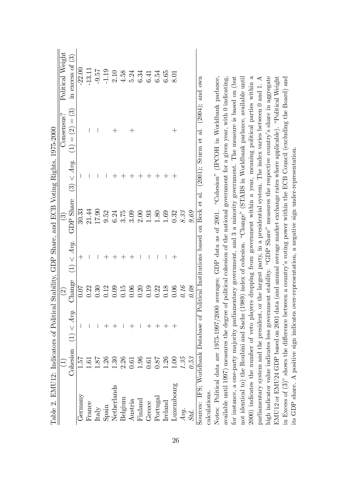|                                                                                                | Political Weight       | in excess of $(3)$    | $-22.00$           | $-13.11$ | $-9.57$                     | $-1.19$<br>$2.10$<br>$4.58$ |      |                        | 5.24    |                     | $6.34$<br>$6.54$<br>$6.54$ |      | $6.65\,$                          | 8.01                            |      |      |                                                                                 |
|------------------------------------------------------------------------------------------------|------------------------|-----------------------|--------------------|----------|-----------------------------|-----------------------------|------|------------------------|---------|---------------------|----------------------------|------|-----------------------------------|---------------------------------|------|------|---------------------------------------------------------------------------------|
|                                                                                                | Consensus?             | $(1)=(2)=(3)$         |                    |          |                             |                             |      |                        |         |                     |                            |      |                                   | $\hspace{.1cm} + \hspace{.1cm}$ |      |      | $(2001)$ : Sturm et al. $(2004)$ : and own                                      |
|                                                                                                |                        | (3) < Avq.            | I                  |          |                             |                             |      |                        |         |                     |                            |      |                                   |                                 |      |      |                                                                                 |
|                                                                                                | $\widehat{\mathbb{G}}$ | <b>GDP</b> Share      | 30.33              | 21.44    | 17.90                       | 9.52                        | 6.24 | $3.75\,$               | 3.09    | 2.00                | 1.93                       | 1.80 | 1.69                              | 0.32                            | 8.33 | 9.69 |                                                                                 |
|                                                                                                |                        | (1) < Avg.            | $\hspace{0.1mm} +$ |          |                             |                             |      |                        |         |                     |                            |      |                                   |                                 |      |      |                                                                                 |
|                                                                                                | $\widehat{\Omega}$     | Change                | 0.07               |          |                             |                             |      |                        |         |                     |                            |      |                                   |                                 | 0.16 | 0.08 |                                                                                 |
|                                                                                                |                        | Cohesion $(1) < Ay$ . |                    |          |                             |                             |      |                        |         |                     |                            |      |                                   |                                 |      |      |                                                                                 |
|                                                                                                | $\overline{1}$         |                       | 1.57               |          | 18.1                        | 1.26                        | 1.30 | 2.26<br>0.61           |         | $\frac{1.96}{0.61}$ |                            | 187  | 1.26                              | 00.1                            | 1.35 | 9.53 |                                                                                 |
| Table 2. EMU12: Indicators of Political Stability, GDP Share, and ECB Voting Rights, 1975-2000 |                        |                       | Germany            | France   | $\ensuremath{\text{Italy}}$ | ${\bf Span}$                |      | Netherlands<br>Belgium | Austria | Finland             | Greece                     |      | ${\rm Portugal} \\ {\rm Ireland}$ | Luxembourg                      | Avg. |      | Sources: IFS: Worldbank Database of Political Institutions based on Beck et al. |

Sources: IFS; Worldbank Database of Political Institutions based on Beck et al. (2001); Sturm et al. (2004); and own  $(2004)$ , dilu  $(2001)$ ,  $50u$ calculations. calculations.

2000) indicates the number of veto players dropping from government within a year, meaning political parties within a 2000) indicates the number of veto players dropping from government within a year, meaning political parties within a high indicator value indicates less government stability. "GDP Share" measures the respective country's share in aggregate EMU12 or EMU24 GDP based on 2001 data (and annual average market exchange rates where applicable). "Political Weight in Excess of  $(3)$ " shows the difference between a country's voting power within the ECB Council (excluding the Board) and available until 1997) measures the degree of political cohesion of the national government for a given year, with 0 indicating, for instance, a one-party majority parliamentary government, and 3 a minority government. The measure is based on (but not identical to) the Roubini and Sachs (1989) index of cohesion. "Change" (STABS in Worldbank parlance, available until not identical to) the Roubini and Sachs (1989) index of cohesion. "Change" (STABS in Worldbank parlance, available until parliamentary system and the president, or the largest party, in a presidential system. The index varies between  $0$  and  $1$ . A parliamentary system and the president, or the largest party, in a presidential system. The index varies between 0 and 1. A high indicator value indicates less government stability. "GDP Share" measures the respective country's share in aggregate in Excess of  $(3)$ <sup>n</sup> shows the difference between a country's voting power within the ECB Council (excluding the Board) and Notes: Political data are 1975-1997/2000 averages; GDP data as of 2001. "Cohesion" (IPCOH in Worldbank parlance, Notes: Political data are 1975-1997/2000 averages; GDP data as of 2001. "Cohesion" (IPCOH in Worldbank parlance, available until 1997) measures the degree of political cohesion of the national government for a given year, with 0 indicating, for instance, a one-party majority parliamentary government, and 3 a minority government. The measure is based on (but EMU12 or EMU24 GDP based on 2001 data (and annual average market exchange rates where applicable). "Political Weight its GDP share. A positive sign indicates over-representation, a negative sign under-representation. its GDP share. A positive sign indicates over-representation, a negative sign under-representation.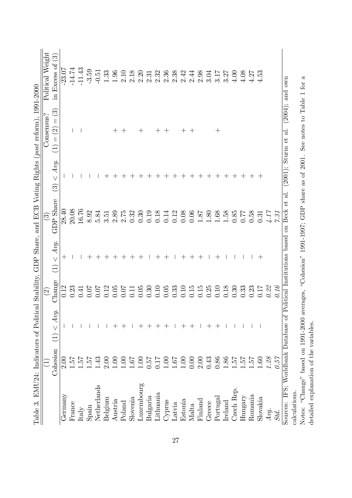|                                              |               |                                   |                           |                                    |                            |                                          | Table 3. EMU24: Indicators of Political Stability, GDP Share, and ECB Voting Rights (post reform), 1991-2000 |                                      |
|----------------------------------------------|---------------|-----------------------------------|---------------------------|------------------------------------|----------------------------|------------------------------------------|--------------------------------------------------------------------------------------------------------------|--------------------------------------|
|                                              |               |                                   | $\widetilde{\mathcal{S}}$ |                                    | $\odot$                    |                                          | Consensus?                                                                                                   | Political Weight                     |
|                                              | Cohesion      | Avg.<br>$\vee$<br>$\widehat{\Xi}$ | Change                    | Avg.<br>$\vee$<br>$\overline{\Xi}$ | Share<br>GDP               | Avg.<br>$\vee$<br>$\widehat{\mathbb{C}}$ | $\widetilde{\mathbb{C}}$<br>$\vert\vert$<br>$\widehat{\mathcal{G}}$<br>$\, \parallel$<br>$\bigoplus$         | $\widetilde{\omega}$<br>in Excess of |
| Germany                                      | 2.00          |                                   | 0.12                      | $^+$                               | 28.40                      |                                          |                                                                                                              | $-23.07$                             |
| France                                       | 1.51          |                                   | 0.23                      |                                    | 20.08                      |                                          |                                                                                                              | $-14.74$                             |
| Italy                                        | $\frac{1}{2}$ |                                   | 0.41                      |                                    | 16.76                      |                                          |                                                                                                              | $-11.43$                             |
| $\operatorname{Spin}$                        | 1.57          |                                   | 0.07                      |                                    | 8.92                       |                                          |                                                                                                              | $-3.59$                              |
| Netherlands                                  | 1.43          |                                   | 0.07                      |                                    | 5.84                       |                                          |                                                                                                              | $-0.51$                              |
| Belgium                                      | 2.00          |                                   | 0.12                      |                                    | $3.\overline{5}1$          |                                          |                                                                                                              | 1.33                                 |
| Austria                                      | 00.1          |                                   | 0.05                      | $^{+}$                             | 2.89                       |                                          | $^{+}$                                                                                                       | 1.96                                 |
| Poland                                       | $\Xi$         |                                   | 0.07                      | $^{+}$                             | 2.75                       |                                          | $^{+}$                                                                                                       | 2.10                                 |
| Slovenia                                     | 1.67          |                                   | 0.11                      | $^{+}$                             | 0.32                       |                                          |                                                                                                              | 2.18                                 |
| Luxembourg                                   | $\Xi$         |                                   | 0.05                      | $^{+}$                             | 0.30                       |                                          | $\hspace{0.1mm} +\hspace{0.1mm}$                                                                             | 2.20                                 |
| $\mathrm{Bulg}$ aria                         | 19.0          |                                   | 0.30                      |                                    | 0.19                       |                                          |                                                                                                              | 2.31                                 |
| Lithuania                                    | <b>117</b>    |                                   | 0.10                      |                                    | 0.18                       |                                          | $^+$                                                                                                         | 2.32                                 |
| Cyprus                                       | 001           |                                   | 0.05                      |                                    | 0.14                       |                                          | $\hspace{0.1mm} +$                                                                                           | 2.36                                 |
| Latvia                                       | 1.67          |                                   | 0.33                      |                                    | 0.12                       |                                          |                                                                                                              | 2.38                                 |
| Estonia                                      | 00.1          |                                   | 0.10                      |                                    | 0.08                       |                                          | $^+$                                                                                                         | 2.42                                 |
| Malta                                        | 0.00          |                                   | 0.15                      |                                    | 0.06                       |                                          |                                                                                                              | 2.44                                 |
| Finland                                      | 2.00          |                                   | 0.15                      |                                    | 1.87                       |                                          |                                                                                                              | 2.98                                 |
| Greece                                       | 0.43          |                                   | 0.25                      |                                    | $1.80\,$                   | $^+$                                     |                                                                                                              | 3.04                                 |
| Portugal                                     | 0.86          |                                   | 0.10                      |                                    | 1.68                       | $^+$                                     | $\hspace{0.1mm} +\hspace{0.1mm}$                                                                             | 3.17                                 |
| Ireland                                      | .86           |                                   | 0.18                      |                                    | 1.58                       |                                          |                                                                                                              | 3.27                                 |
| Czech Rep.                                   | 1.57          |                                   | 0.30                      |                                    | $0.85\,$                   |                                          |                                                                                                              | 4.00                                 |
| Hungary                                      | 7.57          |                                   | 0.33                      |                                    | 77.0                       |                                          |                                                                                                              | 4.08                                 |
| Romania                                      | 1.51          |                                   | 0.23                      |                                    | 0.58                       |                                          |                                                                                                              | 4.27                                 |
| Slovakia                                     | 1.60          |                                   | 0.17                      | $\hspace{.1cm} + \hspace{.1cm}$    | 0.31                       | $\pm$                                    |                                                                                                              | 4.53                                 |
| Avg.                                         | 1.28          |                                   | 0.22                      |                                    | $4.17$                     |                                          |                                                                                                              |                                      |
| Std.                                         | 0.57          |                                   | 0.16                      |                                    | 7.31                       |                                          |                                                                                                              |                                      |
| Sources:                                     |               | IFS; Worldbank Database of        | Political Institutions    | based                              | ť<br><b>Beck</b><br>$\sin$ | (2001);<br>$\overline{a}$ .              | (2004);<br>$\overline{a}$ .<br>ť<br>Sturm                                                                    | $_{\rm own}$<br>and                  |
| calculations.                                |               |                                   |                           |                                    |                            |                                          |                                                                                                              |                                      |
| Notes: "Change" based on 1991-2000 averages, |               |                                   |                           | "Cohesion" 1991-1997; GDP          |                            | share as of 2001.                        | See notes to Table 1                                                                                         | ಸ<br>for                             |
| detailed explanation of the variables.       |               |                                   |                           |                                    |                            |                                          |                                                                                                              |                                      |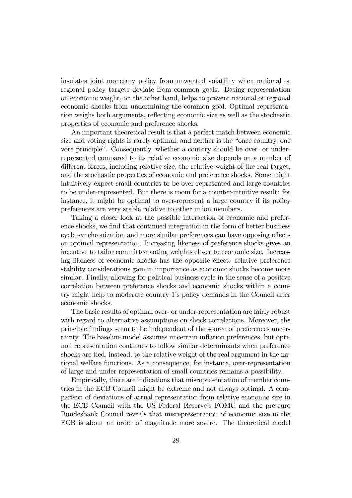insulates joint monetary policy from unwanted volatility when national or regional policy targets deviate from common goals. Basing representation on economic weight, on the other hand, helps to prevent national or regional economic shocks from undermining the common goal. Optimal representation weighs both arguments, reflecting economic size as well as the stochastic properties of economic and preference shocks.

An important theoretical result is that a perfect match between economic size and voting rights is rarely optimal, and neither is the "once country, one vote principle". Consequently, whether a country should be over- or underrepresented compared to its relative economic size depends on a number of different forces, including relative size, the relative weight of the real target, and the stochastic properties of economic and preference shocks. Some might intuitively expect small countries to be over-represented and large countries to be under-represented. But there is room for a counter-intuitive result: for instance, it might be optimal to over-represent a large country if its policy preferences are very stable relative to other union members.

Taking a closer look at the possible interaction of economic and preference shocks, we find that continued integration in the form of better business cycle synchronization and more similar preferences can have opposing effects on optimal representation. Increasing likeness of preference shocks gives an incentive to tailor committee voting weights closer to economic size. Increasing likeness of economic shocks has the opposite effect: relative preference stability considerations gain in importance as economic shocks become more similar. Finally, allowing for political business cycle in the sense of a positive correlation between preference shocks and economic shocks within a country might help to moderate country 1ís policy demands in the Council after economic shocks.

The basic results of optimal over- or under-representation are fairly robust with regard to alternative assumptions on shock correlations. Moreover, the principle Öndings seem to be independent of the source of preferences uncertainty. The baseline model assumes uncertain inflation preferences, but optimal representation continues to follow similar determinants when preference shocks are tied, instead, to the relative weight of the real argument in the national welfare functions. As a consequence, for instance, over-representation of large and under-representation of small countries remains a possibility.

Empirically, there are indications that misrepresentation of member countries in the ECB Council might be extreme and not always optimal. A comparison of deviations of actual representation from relative economic size in the ECB Council with the US Federal Reserve's FOMC and the pre-euro Bundesbank Council reveals that misrepresentation of economic size in the ECB is about an order of magnitude more severe. The theoretical model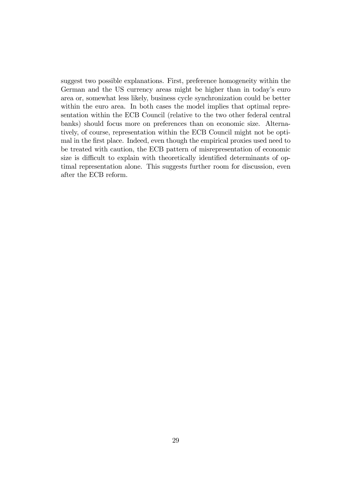suggest two possible explanations. First, preference homogeneity within the German and the US currency areas might be higher than in today's euro area or, somewhat less likely, business cycle synchronization could be better within the euro area. In both cases the model implies that optimal representation within the ECB Council (relative to the two other federal central banks) should focus more on preferences than on economic size. Alternatively, of course, representation within the ECB Council might not be optimal in the first place. Indeed, even though the empirical proxies used need to be treated with caution, the ECB pattern of misrepresentation of economic size is difficult to explain with theoretically identified determinants of optimal representation alone. This suggests further room for discussion, even after the ECB reform.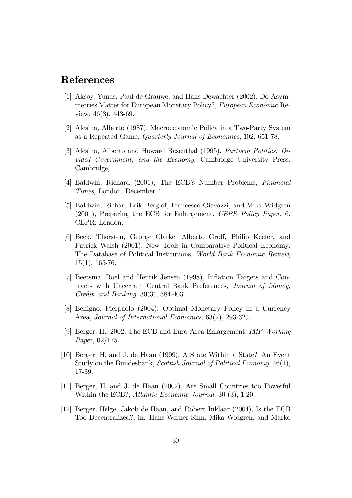# References

- [1] Aksoy, Yunus, Paul de Grauwe, and Hans Dewachter (2002), Do Asymmetries Matter for European Monetary Policy?, European Economic Review, 46(3), 443-69.
- [2] Alesina, Alberto (1987), Macroeconomic Policy in a Two-Party System as a Repeated Game, Quarterly Journal of Economics, 102, 651-78.
- [3] Alesina, Alberto and Howard Rosenthal (1995), Partisan Politics, Divided Government, and the Economy, Cambridge University Press: Cambridge,
- [4] Baldwin, Richard (2001), The ECB's Number Problems, Financial Times, London, December 4.
- [5] Baldwin, Richar, Erik Berglöf, Francesco Giavazzi, and Mika Widgren (2001), Preparing the ECB for Enlargement, CEPR Policy Paper, 6, CEPR: London.
- [6] Beck, Thorsten, George Clarke, Alberto Groff, Philip Keefer, and Patrick Walsh (2001), New Tools in Comparative Political Economy: The Database of Political Institutions, World Bank Economic Review,  $15(1), 165-76.$
- [7] Beetsma, Roel and Henrik Jensen (1998), Ináation Targets and Contracts with Uncertain Central Bank Preferences, Journal of Money, Credit, and Banking, 30(3), 384-403.
- [8] Benigno, Pierpaolo (2004), Optimal Monetary Policy in a Currency Area, Journal of International Economics, 63(2), 293-320.
- [9] Berger, H., 2002, The ECB and Euro-Area Enlargement, *IMF Working* Paper, 02/175.
- [10] Berger, H. and J. de Haan (1999), A State Within a State? An Event Study on the Bundesbank, Scottish Journal of Political Economy, 46(1), 17-39.
- [11] Berger, H. and J. de Haan (2002), Are Small Countries too Powerful Within the ECB?, Atlantic Economic Journal, 30 (3), 1-20.
- [12] Berger, Helge, Jakob de Haan, and Robert Inklaar (2004), Is the ECB Too Decentralized?, in: Hans-Werner Sinn, Mika Widgren, and Marko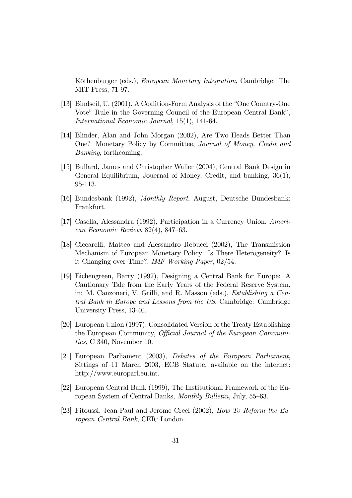Köthenburger (eds.), *European Monetary Integration*, Cambridge: The MIT Press, 71-97.

- [13] Bindseil, U. (2001), A Coalition-Form Analysis of the "One Country-One" Vote" Rule in the Governing Council of the European Central Bank", International Economic Journal, 15(1), 141-64.
- [14] Blinder, Alan and John Morgan (2002), Are Two Heads Better Than One? Monetary Policy by Committee, Journal of Money, Credit and Banking, forthcoming.
- [15] Bullard, James and Christopher Waller (2004), Central Bank Design in General Equilibrium, Jouernal of Money, Credit, and banking, 36(1), 95-113.
- [16] Bundesbank (1992), Monthly Report, August, Deutsche Bundesbank: Frankfurt.
- [17] Casella, Alessandra (1992), Participation in a Currency Union, American Economic Review,  $82(4)$ ,  $847-63$ .
- [18] Ciccarelli, Matteo and Alessandro Rebucci (2002), The Transmission Mechanism of European Monetary Policy: Is There Heterogeneity? Is it Changing over Time?, IMF Working Paper, 02/54.
- [19] Eichengreen, Barry (1992), Designing a Central Bank for Europe: A Cautionary Tale from the Early Years of the Federal Reserve System, in: M. Canzoneri, V. Grilli, and R. Masson (eds.), Establishing a Central Bank in Europe and Lessons from the US, Cambridge: Cambridge University Press, 13-40.
- [20] European Union (1997), Consolidated Version of the Treaty Establishing the European Community, *Official Journal of the European Communi*ties, C 340, November 10.
- [21] European Parliament (2003), Debates of the European Parliament, Sittings of 11 March 2003, ECB Statute, available on the internet: http://www.europarl.eu.int.
- [22] European Central Bank (1999), The Institutional Framework of the European System of Central Banks, Monthly Bulletin, July, 55–63.
- [23] Fitoussi, Jean-Paul and Jerome Creel (2002), How To Reform the European Central Bank, CER: London.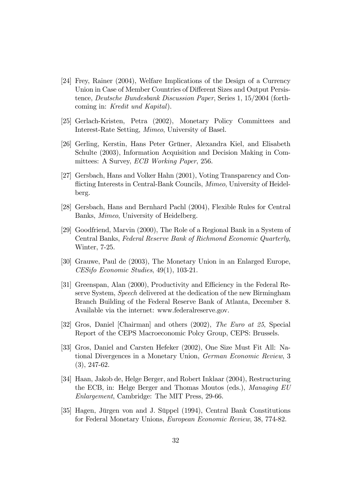- [24] Frey, Rainer (2004), Welfare Implications of the Design of a Currency Union in Case of Member Countries of Different Sizes and Output Persistence, Deutsche Bundesbank Discussion Paper, Series 1, 15/2004 (forthcoming in: Kredit und Kapital).
- [25] Gerlach-Kristen, Petra (2002), Monetary Policy Committees and Interest-Rate Setting, Mimeo, University of Basel.
- [26] Gerling, Kerstin, Hans Peter Grüner, Alexandra Kiel, and Elisabeth Schulte (2003), Information Acquisition and Decision Making in Committees: A Survey, ECB Working Paper, 256.
- [27] Gersbach, Hans and Volker Hahn (2001), Voting Transparency and Conflicting Interests in Central-Bank Councils, *Mimeo*, University of Heidelberg.
- [28] Gersbach, Hans and Bernhard Pachl (2004), Flexible Rules for Central Banks, Mimeo, University of Heidelberg.
- [29] Goodfriend, Marvin (2000), The Role of a Regional Bank in a System of Central Banks, Federal Reserve Bank of Richmond Economic Quarterly, Winter, 7-25.
- [30] Grauwe, Paul de (2003), The Monetary Union in an Enlarged Europe, CESifo Economic Studies, 49(1), 103-21.
- [31] Greenspan, Alan (2000), Productivity and Efficiency in the Federal Reserve System, Speech delivered at the dedication of the new Birmingham Branch Building of the Federal Reserve Bank of Atlanta, December 8. Available via the internet: www.federalreserve.gov.
- [32] Gros, Daniel [Chairman] and others (2002), The Euro at 25, Special Report of the CEPS Macroeconomic Polcy Group, CEPS: Brussels.
- [33] Gros, Daniel and Carsten Hefeker (2002), One Size Must Fit All: National Divergences in a Monetary Union, German Economic Review, 3 (3), 247-62.
- [34] Haan, Jakob de, Helge Berger, and Robert Inklaar (2004), Restructuring the ECB, in: Helge Berger and Thomas Moutos (eds.), Managing EU Enlargement, Cambridge: The MIT Press, 29-66.
- [35] Hagen, Jürgen von and J. Süppel (1994), Central Bank Constitutions for Federal Monetary Unions, European Economic Review, 38, 774-82.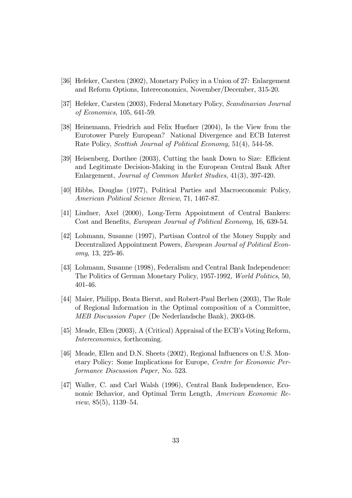- [36] Hefeker, Carsten (2002), Monetary Policy in a Union of 27: Enlargement and Reform Options, Intereconomics, November/December, 315-20.
- [37] Hefeker, Carsten (2003), Federal Monetary Policy, Scandinavian Journal of Economics, 105, 641-59.
- [38] Heinemann, Friedrich and Felix Huefner (2004), Is the View from the Eurotower Purely European? National Divergence and ECB Interest Rate Policy, Scottish Journal of Political Economy, 51(4), 544-58.
- [39] Heisenberg, Dorthee (2003), Cutting the bank Down to Size: Efficient and Legitimate Decision-Making in the European Central Bank After Enlargement, Journal of Common Market Studies, 41(3), 397-420.
- [40] Hibbs, Douglas (1977), Political Parties and Macroeconomic Policy, American Political Science Review, 71, 1467-87.
- [41] Lindner, Axel (2000), Long-Term Appointment of Central Bankers: Cost and Benefits, *European Journal of Political Economy*, 16, 639-54.
- [42] Lohmann, Susanne (1997), Partisan Control of the Money Supply and Decentralized Appointment Powers, European Journal of Political Economy, 13, 225-46.
- [43] Lohmann, Susanne (1998), Federalism and Central Bank Independence: The Politics of German Monetary Policy, 1957-1992, World Politics, 50, 401-46.
- [44] Maier, Philipp, Beata Bierut, and Robert-Paul Berben (2003), The Role of Regional Information in the Optimal composition of a Committee, MEB Discussion Paper (De Nederlandsche Bank), 2003-08.
- [45] Meade, Ellen  $(2003)$ , A (Critical) Appraisal of the ECB's Voting Reform, Intereconomics, forthcoming.
- [46] Meade, Ellen and D.N. Sheets (2002), Regional Influences on U.S. Monetary Policy: Some Implications for Europe, Centre for Economic Performance Discussion Paper, No. 523.
- [47] Waller, C. and Carl Walsh (1996), Central Bank Independence, Economic Behavior, and Optimal Term Length, American Economic Review,  $85(5)$ , 1139–54.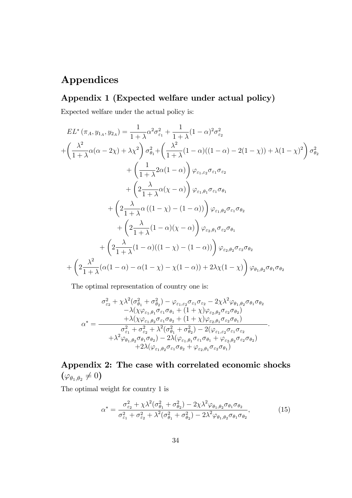# Appendices

### Appendix 1 (Expected welfare under actual policy)

Expected welfare under the actual policy is:

$$
EL^*(\pi_A, y_{1_A}, y_{2_A}) = \frac{1}{1+\lambda} \alpha^2 \sigma_{\varepsilon_1}^2 + \frac{1}{1+\lambda} (1-\alpha)^2 \sigma_{\varepsilon_2}^2
$$
  
+ 
$$
\left(\frac{\lambda^2}{1+\lambda} \alpha(\alpha - 2\chi) + \lambda \chi^2\right) \sigma_{\theta_1}^2 + \left(\frac{\lambda^2}{1+\lambda} (1-\alpha)((1-\alpha) - 2(1-\chi)) + \lambda (1-\chi)^2\right) \sigma_{\theta_2}^2
$$
  
+ 
$$
\left(\frac{1}{1+\lambda} 2\alpha(1-\alpha)\right) \varphi_{\varepsilon_1, \varepsilon_2} \sigma_{\varepsilon_1} \sigma_{\varepsilon_2}
$$
  
+ 
$$
\left(2\frac{\lambda}{1+\lambda} \alpha(\chi - \alpha)\right) \varphi_{\varepsilon_1, \theta_1} \sigma_{\varepsilon_1} \sigma_{\theta_1}
$$
  
+ 
$$
\left(2\frac{\lambda}{1+\lambda} \alpha((1-\chi) - (1-\alpha))\right) \varphi_{\varepsilon_1, \theta_2} \sigma_{\varepsilon_1} \sigma_{\theta_2}
$$
  
+ 
$$
\left(2\frac{\lambda}{1+\lambda} (1-\alpha)(\chi - \alpha)\right) \varphi_{\varepsilon_2, \theta_1} \sigma_{\varepsilon_2} \sigma_{\theta_1}
$$
  
+ 
$$
\left(2\frac{\lambda}{1+\lambda} (1-\alpha)((1-\chi) - (1-\alpha))\right) \varphi_{\varepsilon_2, \theta_2} \sigma_{\varepsilon_2} \sigma_{\theta_2}
$$
  
+ 
$$
\left(2\frac{\lambda^2}{1+\lambda} (\alpha(1-\alpha) - \alpha(1-\chi) - \chi(1-\alpha)) + 2\lambda \chi(1-\chi)\right) \varphi_{\theta_1, \theta_2} \sigma_{\theta_1} \sigma_{\theta_2}
$$

The optimal representation of country one is:

$$
\sigma_{\varepsilon_2}^2 + \chi \lambda^2 (\sigma_{\theta_1}^2 + \sigma_{\theta_2}^2) - \varphi_{\varepsilon_1, \varepsilon_2} \sigma_{\varepsilon_1} \sigma_{\varepsilon_2} - 2 \chi \lambda^2 \varphi_{\theta_1, \theta_2} \sigma_{\theta_1} \sigma_{\theta_2} \n- \lambda (\chi \varphi_{\varepsilon_1, \theta_1} \sigma_{\varepsilon_1} \sigma_{\theta_1} + (1 + \chi) \varphi_{\varepsilon_2, \theta_2} \sigma_{\varepsilon_2} \sigma_{\theta_2}) \n\alpha^* = \frac{+ \lambda (\chi \varphi_{\varepsilon_1, \theta_2} \sigma_{\varepsilon_1} \sigma_{\theta_2} + (1 + \chi) \varphi_{\varepsilon_2, \theta_1} \sigma_{\varepsilon_2} \sigma_{\theta_1})}{\sigma_{\varepsilon_1}^2 + \sigma_{\varepsilon_2}^2 + \lambda^2 (\sigma_{\theta_1}^2 + \sigma_{\theta_2}^2) - 2 (\varphi_{\varepsilon_1, \varepsilon_2} \sigma_{\varepsilon_1} \sigma_{\varepsilon_2} \n+ \lambda^2 \varphi_{\theta_1, \theta_2} \sigma_{\theta_1} \sigma_{\theta_2}) - 2 \lambda (\varphi_{\varepsilon_1, \theta_1} \sigma_{\varepsilon_1} \sigma_{\theta_1} + \varphi_{\varepsilon_2, \theta_2} \sigma_{\varepsilon_2} \sigma_{\theta_2}) \n+ 2 \lambda (\varphi_{\varepsilon_1, \theta_2} \sigma_{\varepsilon_1} \sigma_{\theta_2} + \varphi_{\varepsilon_2, \theta_1} \sigma_{\varepsilon_2} \sigma_{\theta_1})
$$

Appendix 2: The case with correlated economic shocks  $(\varphi_{\theta_1,\theta_2}\neq 0)$ 

The optimal weight for country 1 is

$$
\alpha^* = \frac{\sigma_{\varepsilon_2}^2 + \chi \lambda^2 (\sigma_{\theta_1}^2 + \sigma_{\theta_2}^2) - 2\chi \lambda^2 \varphi_{\theta_1, \theta_2} \sigma_{\theta_1} \sigma_{\theta_2}}{\sigma_{\varepsilon_1}^2 + \sigma_{\varepsilon_2}^2 + \lambda^2 (\sigma_{\theta_1}^2 + \sigma_{\theta_2}^2) - 2\lambda^2 \varphi_{\theta_1, \theta_2} \sigma_{\theta_1} \sigma_{\theta_2}},\tag{15}
$$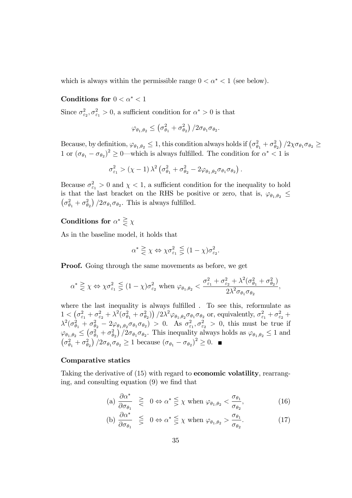which is always within the permissible range  $0 < \alpha^* < 1$  (see below).

### Conditions for  $0 < \alpha^* < 1$

Since  $\sigma_{\varepsilon_2}^2, \sigma_{\varepsilon_1}^2 > 0$ , a sufficient condition for  $\alpha^* > 0$  is that

$$
\varphi_{\theta_1,\theta_2} \leq \left(\sigma_{\theta_1}^2 + \sigma_{\theta_2}^2\right)/2\sigma_{\theta_1}\sigma_{\theta_2}.
$$

Because, by definition,  $\varphi_{\theta_1,\theta_2} \leq 1$ , this condition always holds if  $(\sigma_{\theta_1}^2 + \sigma_{\theta_2}^2)/2\chi\sigma_{\theta_1}\sigma_{\theta_2} \geq$ 1 or  $(\sigma_{\theta_1} - \sigma_{\theta_2})^2 \ge 0$ —which is always fulfilled. The condition for  $\alpha^* < 1$  is

$$
\sigma_{\varepsilon_1}^2 > (\chi - 1) \lambda^2 \left( \sigma_{\theta_1}^2 + \sigma_{\theta_2}^2 - 2\varphi_{\theta_1, \theta_2} \sigma_{\theta_1} \sigma_{\theta_2} \right).
$$

Because  $\sigma_{\varepsilon_1}^2 > 0$  and  $\chi < 1$ , a sufficient condition for the inequality to hold is that the last bracket on the RHS be positive or zero, that is,  $\varphi_{\theta_1,\theta_2} \leq$  $\left(\sigma_{\theta_1}^2 + \sigma_{\theta_2}^2\right)/2\sigma_{\theta_1}\sigma_{\theta_2}$ . This is always fulfilled.

### Conditions for  $\alpha^* \geq \chi$

As in the baseline model, it holds that

$$
\alpha^* \geqq \chi \Leftrightarrow \chi \sigma_{\varepsilon_1}^2 \leqq (1 - \chi) \sigma_{\varepsilon_2}^2.
$$

Proof. Going through the same movements as before, we get

$$
\alpha^* \geq \chi \Leftrightarrow \chi \sigma_{\varepsilon_1}^2 \leq (1 - \chi) \sigma_{\varepsilon_2}^2 \text{ when } \varphi_{\theta_1, \theta_2} < \frac{\sigma_{\varepsilon_1}^2 + \sigma_{\varepsilon_2}^2 + \lambda^2 (\sigma_{\theta_1}^2 + \sigma_{\theta_2}^2)}{2\lambda^2 \sigma_{\theta_1} \sigma_{\theta_2}},
$$

where the last inequality is always fulfilled. To see this, reformulate as  $1 \n\t\t< \left( \sigma_{\varepsilon_1}^2 + \sigma_{\varepsilon_2}^2 + \lambda^2 (\sigma_{\theta_1}^2 + \sigma_{\theta_2}^2) \right) / 2 \lambda^2 \varphi_{\theta_1, \theta_2} \sigma_{\theta_1} \sigma_{\theta_2} \text{ or, equivalently, } \sigma_{\varepsilon_1}^2 + \sigma_{\varepsilon_2}^2 + \sigma_{\varepsilon_1}^2$  $\lambda^2(\sigma_{\theta_1}^2 + \sigma_{\theta_2}^2 - 2\varphi_{\theta_1,\theta_2}\sigma_{\theta_1}\sigma_{\theta_2}) > 0$ . As  $\sigma_{\varepsilon_1}^2, \sigma_{\varepsilon_2}^2 > 0$ , this must be true if  $\varphi_{\theta_1,\theta_2} \leq (\sigma_{\theta_1}^2 + \sigma_{\theta_2}^2)/2\sigma_{\theta_1}\sigma_{\theta_2}$ . This inequality always holds as  $\varphi_{\theta_1,\theta_2} \leq 1$  and  $\left(\sigma_{\theta_1}^2 + \sigma_{\theta_2}^2\right)/2\sigma_{\theta_1}\sigma_{\theta_2} \ge 1$  because  $\left(\sigma_{\theta_1} - \sigma_{\theta_2}\right)^2 \ge 0$ .

#### Comparative statics

Taking the derivative of (15) with regard to **economic volatility**, rearranging, and consulting equation  $(9)$  we find that

(a) 
$$
\frac{\partial \alpha^*}{\partial \sigma_{\theta_1}} \geq 0 \Leftrightarrow \alpha^* \leq \chi
$$
 when  $\varphi_{\theta_1, \theta_2} < \frac{\sigma_{\theta_1}}{\sigma_{\theta_2}}$ , (16)

(b) 
$$
\frac{\partial \alpha^*}{\partial \sigma_{\theta_1}} \leq 0 \Leftrightarrow \alpha^* \leq \chi
$$
 when  $\varphi_{\theta_1, \theta_2} > \frac{\sigma_{\theta_1}}{\sigma_{\theta_2}}$ . (17)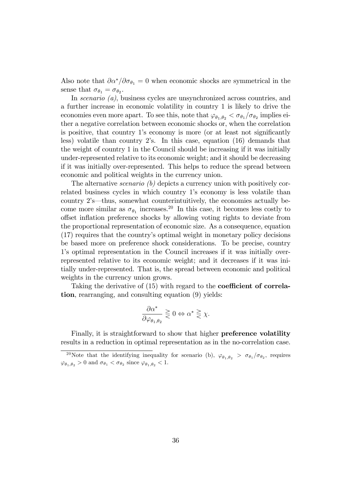Also note that  $\partial \alpha^* / \partial \sigma_{\theta_1} = 0$  when economic shocks are symmetrical in the sense that  $\sigma_{\theta_1} = \sigma_{\theta_2}$ .

In *scenario* (*a*), business cycles are unsynchronized across countries, and a further increase in economic volatility in country 1 is likely to drive the economies even more apart. To see this, note that  $\varphi_{\theta_1,\theta_2} < \sigma_{\theta_1}/\sigma_{\theta_2}$  implies either a negative correlation between economic shocks or, when the correlation is positive, that country 1's economy is more (or at least not significantly less) volatile than country 2's. In this case, equation  $(16)$  demands that the weight of country 1 in the Council should be increasing if it was initially under-represented relative to its economic weight; and it should be decreasing if it was initially over-represented. This helps to reduce the spread between economic and political weights in the currency union.

The alternative *scenario* (b) depicts a currency union with positively correlated business cycles in which country 1's economy is less volatile than country  $2$ 's—thus, somewhat counterintuitively, the economies actually become more similar as  $\sigma_{\theta_1}$  increases.<sup>20</sup> In this case, it becomes less costly to offset inflation preference shocks by allowing voting rights to deviate from the proportional representation of economic size. As a consequence, equation (17) requires that the countryís optimal weight in monetary policy decisions be based more on preference shock considerations. To be precise, country 1ís optimal representation in the Council increases if it was initially overrepresented relative to its economic weight; and it decreases if it was initially under-represented. That is, the spread between economic and political weights in the currency union grows.

Taking the derivative of  $(15)$  with regard to the **coefficient of correla**tion, rearranging, and consulting equation (9) yields:

$$
\frac{\partial \alpha^*}{\partial \varphi_{\theta_1, \theta_2}} \gtrless 0 \Leftrightarrow \alpha^* \gtrless \chi.
$$

Finally, it is straightforward to show that higher preference volatility results in a reduction in optimal representation as in the no-correlation case.

<sup>&</sup>lt;sup>20</sup>Note that the identifying inequality for scenario (b),  $\varphi_{\theta_1,\theta_2} > \sigma_{\theta_1}/\sigma_{\theta_2}$ , requires  $\varphi_{\theta_1,\theta_2} > 0$  and  $\sigma_{\theta_1} < \sigma_{\theta_2}$  since  $\varphi_{\theta_1,\theta_2} < 1$ .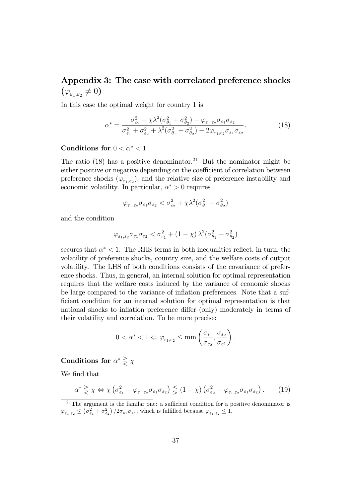# Appendix 3: The case with correlated preference shocks  $(\varphi_{\varepsilon_{1},\varepsilon_{2}}\neq0)$

In this case the optimal weight for country 1 is

$$
\alpha^* = \frac{\sigma_{\varepsilon_2}^2 + \chi \lambda^2 (\sigma_{\theta_1}^2 + \sigma_{\theta_2}^2) - \varphi_{\varepsilon_1, \varepsilon_2} \sigma_{\varepsilon_1} \sigma_{\varepsilon_2}}{\sigma_{\varepsilon_1}^2 + \sigma_{\varepsilon_2}^2 + \lambda^2 (\sigma_{\theta_1}^2 + \sigma_{\theta_2}^2) - 2\varphi_{\varepsilon_1, \varepsilon_2} \sigma_{\varepsilon_1} \sigma_{\varepsilon_2}}.
$$
(18)

### Conditions for  $0 < \alpha^* < 1$

The ratio  $(18)$  has a positive denominator.<sup>21</sup> But the nominator might be either positive or negative depending on the coefficient of correlation between preference shocks  $(\varphi_{\varepsilon_1,\varepsilon_2})$ , and the relative size of preference instability and economic volatility. In particular,  $\alpha^* > 0$  requires

$$
\varphi_{\varepsilon_1,\varepsilon_2}\sigma_{\varepsilon_1}\sigma_{\varepsilon_2} < \sigma_{\varepsilon_2}^2 + \chi \lambda^2 (\sigma_{\theta_1}^2 + \sigma_{\theta_2}^2)
$$

and the condition

$$
\varphi_{\varepsilon_1,\varepsilon_2} \sigma_{\varepsilon_1}\sigma_{\varepsilon_2} < \sigma_{\varepsilon_1}^2 + (1-\chi)\,\lambda^2(\sigma_{\theta_1}^2 + \sigma_{\theta_2}^2)
$$

secures that  $\alpha^* < 1$ . The RHS-terms in both inequalities reflect, in turn, the volatility of preference shocks, country size, and the welfare costs of output volatility. The LHS of both conditions consists of the covariance of preference shocks. Thus, in general, an internal solution for optimal representation requires that the welfare costs induced by the variance of economic shocks be large compared to the variance of inflation preferences. Note that a sufficient condition for an internal solution for optimal representation is that national shocks to inflation preference differ (only) moderately in terms of their volatility and correlation. To be more precise:

$$
0<\alpha^*<1 \Leftarrow \varphi_{\varepsilon_1,\varepsilon_2}\leq \min\left(\frac{\sigma_{\varepsilon_1}}{\sigma_{\varepsilon_2}},\frac{\sigma_{\varepsilon_2}}{\sigma_{\varepsilon_1}}\right).
$$

### Conditions for  $\alpha^* \geq \chi$

We find that

$$
\alpha^* \geq \chi \Leftrightarrow \chi \left( \sigma_{\varepsilon_1}^2 - \varphi_{\varepsilon_1, \varepsilon_2} \sigma_{\varepsilon_1} \sigma_{\varepsilon_2} \right) \lesssim (1 - \chi) \left( \sigma_{\varepsilon_2}^2 - \varphi_{\varepsilon_1, \varepsilon_2} \sigma_{\varepsilon_1} \sigma_{\varepsilon_2} \right). \tag{19}
$$

 $21$ The argument is the familar one: a sufficient condition for a positive denominator is  $\varphi_{\varepsilon_1,\varepsilon_2} \leq \left(\sigma_{\varepsilon_1}^2 + \sigma_{\varepsilon_2}^2\right)/2\sigma_{\varepsilon_1}\sigma_{\varepsilon_2}$ , which is fulfilled because  $\varphi_{\varepsilon_1,\varepsilon_2} \leq 1$ .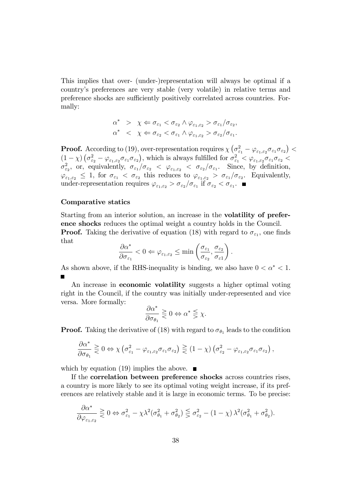This implies that over- (under-)representation will always be optimal if a countryís preferences are very stable (very volatile) in relative terms and preference shocks are sufficiently positively correlated across countries. Formally:

$$
\alpha^* > \chi \Leftarrow \sigma_{\varepsilon_1} < \sigma_{\varepsilon_2} \land \varphi_{\varepsilon_1, \varepsilon_2} > \sigma_{\varepsilon_1} / \sigma_{\varepsilon_2},
$$
\n
$$
\alpha^* < \chi \Leftarrow \sigma_{\varepsilon_2} < \sigma_{\varepsilon_1} \land \varphi_{\varepsilon_1, \varepsilon_2} > \sigma_{\varepsilon_2} / \sigma_{\varepsilon_1}.
$$

**Proof.** According to (19), over-representation requires  $\chi\left(\sigma_{\varepsilon_1}^2 - \varphi_{\varepsilon_1,\varepsilon_2}\sigma_{\varepsilon_1}\sigma_{\varepsilon_2}\right)$  $(1 - \chi) \left( \sigma_{\varepsilon_2}^2 - \varphi_{\varepsilon_1, \varepsilon_2} \sigma_{\varepsilon_1} \sigma_{\varepsilon_2} \right)$ , which is always fulfilled for  $\sigma_{\varepsilon_1}^2 < \varphi_{\varepsilon_1, \varepsilon_2} \sigma_{\varepsilon_1} \sigma_{\varepsilon_2} <$  $\sigma_{\varepsilon_2}^2$ , or, equivalently,  $\sigma_{\varepsilon_1}/\sigma_{\varepsilon_2} < \varphi_{\varepsilon_1,\varepsilon_2} < \sigma_{\varepsilon_2}/\sigma_{\varepsilon_1}$ . Since, by definition,  $\varphi_{\varepsilon_1,\varepsilon_2} \leq 1$ , for  $\sigma_{\varepsilon_1} < \sigma_{\varepsilon_2}$  this reduces to  $\varphi_{\varepsilon_1,\varepsilon_2} > \sigma_{\varepsilon_1}/\sigma_{\varepsilon_2}$ . Equivalently, under-representation requires  $\varphi_{\varepsilon_1,\varepsilon_2} > \sigma_{\varepsilon_2}/\sigma_{\varepsilon_1}$  if  $\sigma_{\varepsilon_2} < \sigma_{\varepsilon_1}$ .

#### Comparative statics

Starting from an interior solution, an increase in the volatility of preference shocks reduces the optimal weight a country holds in the Council. **Proof.** Taking the derivative of equation (18) with regard to  $\sigma_{\varepsilon_1}$ , one finds that

$$
\frac{\partial \alpha^*}{\partial \sigma_{\varepsilon_1}}<0 \Leftarrow \varphi_{\varepsilon_1,\varepsilon_2}\leq \min \left(\frac{\sigma_{\varepsilon_1}}{\sigma_{\varepsilon_2}},\frac{\sigma_{\varepsilon_2}}{\sigma_{\varepsilon 1}}\right)
$$

:

As shown above, if the RHS-inequality is binding, we also have  $0 < \alpha^* < 1$ .

An increase in **economic volatility** suggests a higher optimal voting right in the Council, if the country was initially under-represented and vice versa. More formally:

$$
\frac{\partial \alpha^*}{\partial \sigma_{\theta_1}} \gtrless 0 \Leftrightarrow \alpha^* \lesseqgtr \chi.
$$

**Proof.** Taking the derivative of (18) with regard to  $\sigma_{\theta_1}$  leads to the condition

$$
\frac{\partial \alpha^*}{\partial \sigma_{\theta_1}} \gtrless 0 \Leftrightarrow \chi \left( \sigma_{\varepsilon_1}^2 - \varphi_{\varepsilon_1, \varepsilon_2} \sigma_{\varepsilon_1} \sigma_{\varepsilon_2} \right) \gtrless (1 - \chi) \left( \sigma_{\varepsilon_2}^2 - \varphi_{\varepsilon_1, \varepsilon_2} \sigma_{\varepsilon_1} \sigma_{\varepsilon_2} \right),
$$

which by equation (19) implies the above.  $\blacksquare$ 

If the correlation between preference shocks across countries rises, a country is more likely to see its optimal voting weight increase, if its preferences are relatively stable and it is large in economic terms. To be precise:

$$
\frac{\partial \alpha^*}{\partial \varphi_{\varepsilon_1, \varepsilon_2}} \geq 0 \Leftrightarrow \sigma_{\varepsilon_1}^2 - \chi \lambda^2 (\sigma_{\theta_1}^2 + \sigma_{\theta_2}^2) \leq \sigma_{\varepsilon_2}^2 - (1 - \chi) \lambda^2 (\sigma_{\theta_1}^2 + \sigma_{\theta_2}^2).
$$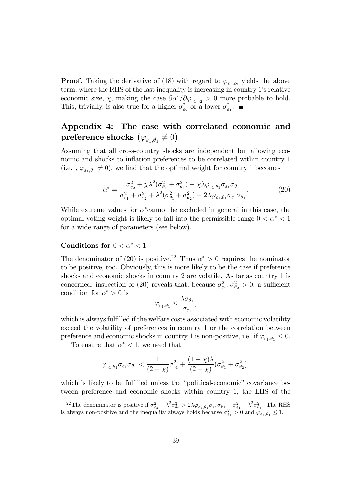**Proof.** Taking the derivative of (18) with regard to  $\varphi_{\varepsilon_1,\varepsilon_2}$  yields the above term, where the RHS of the last inequality is increasing in country 1's relative economic size,  $\chi$ , making the case  $\partial \alpha^* / \partial \varphi_{\varepsilon_1, \varepsilon_2} > 0$  more probable to hold. This, trivially, is also true for a higher  $\sigma_{\varepsilon_2}^2$  or a lower  $\sigma_{\varepsilon_1}^2$ .

# Appendix 4: The case with correlated economic and  $\textbf{preference shocks} \,\, (\varphi_{\varepsilon_1,\theta_1} \neq 0)$

Assuming that all cross-country shocks are independent but allowing economic and shocks to inflation preferences to be correlated within country 1 (i.e.,  $\varphi_{\varepsilon_1, \theta_1} \neq 0$ ), we find that the optimal weight for country 1 becomes

$$
\alpha^* = \frac{\sigma_{\varepsilon_2}^2 + \chi \lambda^2 (\sigma_{\theta_1}^2 + \sigma_{\theta_2}^2) - \chi \lambda \varphi_{\varepsilon_1, \theta_1} \sigma_{\varepsilon_1} \sigma_{\theta_1}}{\sigma_{\varepsilon_1}^2 + \sigma_{\varepsilon_2}^2 + \lambda^2 (\sigma_{\theta_1}^2 + \sigma_{\theta_2}^2) - 2\lambda \varphi_{\varepsilon_1, \theta_1} \sigma_{\varepsilon_1} \sigma_{\theta_1}}.
$$
(20)

While extreme values for  $\alpha^*$  cannot be excluded in general in this case, the optimal voting weight is likely to fall into the permissible range  $0 < \alpha^* < 1$ for a wide range of parameters (see below).

### Conditions for  $0 < \alpha^* < 1$

The denominator of (20) is positive.<sup>22</sup> Thus  $\alpha^* > 0$  requires the nominator to be positive, too. Obviously, this is more likely to be the case if preference shocks and economic shocks in country 2 are volatile. As far as country 1 is concerned, inspection of (20) reveals that, because  $\sigma_{\varepsilon_2}^2, \sigma_{\theta_2}^2 > 0$ , a sufficient condition for  $\alpha^* > 0$  is

$$
\varphi_{\varepsilon_1,\theta_1} \leq \frac{\lambda \sigma_{\theta_1}}{\sigma_{\varepsilon_1}},
$$

which is always fulfilled if the welfare costs associated with economic volatility exceed the volatility of preferences in country 1 or the correlation between preference and economic shocks in country 1 is non-positive, i.e. if  $\varphi_{\varepsilon_1,\theta_1} \leq 0$ .

To ensure that  $\alpha^* < 1$ , we need that

$$
\varphi_{\varepsilon_1,\theta_1}\sigma_{\varepsilon_1}\sigma_{\theta_1} < \frac{1}{(2-\chi)}\sigma_{\varepsilon_1}^2 + \frac{(1-\chi)\lambda}{(2-\chi)}(\sigma_{\theta_1}^2 + \sigma_{\theta_2}^2),
$$

which is likely to be fulfilled unless the "political-economic" covariance between preference and economic shocks within country 1, the LHS of the

<sup>&</sup>lt;sup>22</sup>The denominator is positive if  $\sigma_{\varepsilon_2}^2 + \lambda^2 \sigma_{\theta_2}^2 > 2\lambda \varphi_{\varepsilon_1, \theta_1} \sigma_{\varepsilon_1} \sigma_{\theta_1} - \sigma_{\varepsilon_1}^2 - \lambda^2 \sigma_{\theta_1}^2$ . The RHS is always non-positive and the inequality always holds because  $\sigma_{\varepsilon_1}^2 > 0$  and  $\varphi_{\varepsilon_1,\theta_1} \leq 1$ .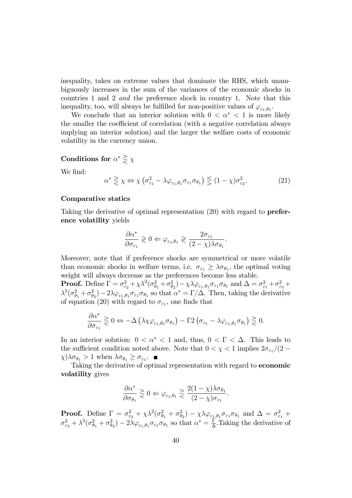inequality, takes on extreme values that dominate the RHS, which unambiguously increases in the sum of the variances of the economic shocks in countries 1 and 2 and the preference shock in country 1. Note that this inequality, too, will always be fulfilled for non-positive values of  $\varphi_{\varepsilon_1,\theta_1}$ .

We conclude that an interior solution with  $0 < \alpha^* < 1$  is more likely the smaller the coefficient of correlation (with a negative correlation always implying an interior solution) and the larger the welfare costs of economic volatility in the currency union.

### Conditions for  $\alpha^* \geq \chi$

We find:

$$
\alpha^* \geqq \chi \Leftrightarrow \chi \left( \sigma_{\varepsilon_1}^2 - \lambda \varphi_{\varepsilon_1, \theta_1} \sigma_{\varepsilon_1} \sigma_{\theta_1} \right) \lesssim (1 - \chi) \sigma_{\varepsilon_2}^2. \tag{21}
$$

### Comparative statics

Taking the derivative of optimal representation (20) with regard to preference volatility yields

$$
\frac{\partial \alpha^*}{\partial \sigma_{\varepsilon_1}} \gtrless 0 \Leftarrow \varphi_{\varepsilon_1, \theta_1} \gtrless \frac{2\sigma_{\varepsilon_1}}{(2-\chi)\lambda \sigma_{\theta_1}}.
$$

Moreover, note that if preference shocks are symmetrical or more volatile than economic shocks in welfare terms, i.e.  $\sigma_{\varepsilon_1} \geq \lambda \sigma_{\theta_1}$ , the optimal voting weight will always decrease as the preferences become less stable.

**Proof.** Define  $\Gamma = \sigma_{\varepsilon_2}^2 + \chi \lambda^2 (\sigma_{\theta_1}^2 + \sigma_{\theta_2}^2) - \chi \lambda \varphi_{\varepsilon_1, \theta_1} \sigma_{\varepsilon_1} \sigma_{\theta_1}$  and  $\Delta = \sigma_{\varepsilon_1}^2 + \sigma_{\varepsilon_2}^2 +$  $\lambda^2(\sigma_{\theta_1}^2+\sigma_{\theta_2}^2)-2\lambda\varphi_{\varepsilon_1,\theta_1}\sigma_{\varepsilon_1}\sigma_{\theta_1}$  so that  $\alpha^*=\Gamma/\Delta$ . Then, taking the derivative of equation (20) with regard to  $\sigma_{\varepsilon_1}$ , one finds that

$$
\frac{\partial \alpha^*}{\partial \sigma_{\varepsilon_1}} \gtrless 0 \Leftrightarrow -\Delta \left(\lambda \chi \varphi_{\varepsilon_1, \theta_1} \sigma_{\theta_1}\right) - \Gamma 2 \left(\sigma_{\varepsilon_1} - \lambda \varphi_{\varepsilon_1, \theta_1} \sigma_{\theta_1}\right) \gtrless 0.
$$

In an interior solution:  $0 < \alpha^* < 1$  and, thus,  $0 < \Gamma < \Delta$ . This leads to the sufficient condition noted above. Note that  $0 < \chi < 1$  implies  $2\sigma_{\epsilon_1}/(2 \chi$ ) $\lambda \sigma_{\theta_1} > 1$  when  $\lambda \sigma_{\theta_1} \ge \sigma_{\epsilon_1}$ .

Taking the derivative of optimal representation with regard to economic volatility gives

$$
\frac{\partial \alpha^*}{\partial \sigma_{\theta_1}} \gtrless 0 \Leftrightarrow \varphi_{\varepsilon_1, \theta_1} \gtrless \frac{2(1-\chi)\lambda \sigma_{\theta_1}}{(2-\chi)\sigma_{\varepsilon_1}}.
$$

**Proof.** Define  $\Gamma = \sigma_{\varepsilon_2}^2 + \chi \lambda^2 (\sigma_{\theta_1}^2 + \sigma_{\theta_2}^2) - \chi \lambda \varphi_{\varepsilon_1, \theta_1} \sigma_{\varepsilon_1} \sigma_{\theta_1}$  and  $\Delta = \sigma_{\varepsilon_1}^2 + \chi \lambda^2 (\sigma_{\theta_1}^2 + \sigma_{\theta_2}^2) - \chi \lambda \varphi_{\varepsilon_1, \theta_1} \sigma_{\varepsilon_1} \sigma_{\theta_1}$  $\sigma_{\varepsilon_2}^2 + \lambda^2 (\sigma_{\theta_1}^2 + \sigma_{\theta_2}^2) - 2\lambda \varphi_{\varepsilon_1, \theta_1} \sigma_{\varepsilon_1} \sigma_{\theta_1}$  so that  $\alpha^* = \frac{\Gamma}{\Delta}$  $\frac{\Gamma}{\Delta}$ . Taking the derivative of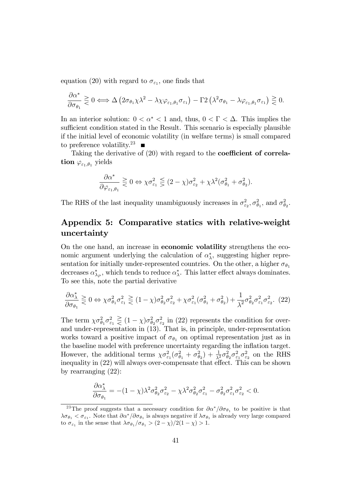equation (20) with regard to  $\sigma_{\varepsilon_1}$ , one finds that

$$
\frac{\partial \alpha^*}{\partial \sigma_{\theta_1}} \gtrless 0 \Longleftrightarrow \Delta \left( 2\sigma_{\theta_1} \chi \lambda^2 - \lambda \chi \varphi_{\varepsilon_1, \theta_1} \sigma_{\varepsilon_1} \right) - \Gamma 2 \left( \lambda^2 \sigma_{\theta_1} - \lambda \varphi_{\varepsilon_1, \theta_1} \sigma_{\varepsilon_1} \right) \gtrless 0.
$$

In an interior solution:  $0 < \alpha^* < 1$  and, thus,  $0 < \Gamma < \Delta$ . This implies the sufficient condition stated in the Result. This scenario is especially plausible if the initial level of economic volatility (in welfare terms) is small compared to preference volatility.<sup>23</sup>

Taking the derivative of  $(20)$  with regard to the **coefficient of correla-** ${\rm \bf tion}\ \varphi_{\varepsilon_1,\theta_1} \ {\rm yields}$ 

$$
\frac{\partial \alpha^*}{\partial \varphi_{\varepsilon_1, \theta_1}} \gtrless 0 \Leftrightarrow \chi \sigma_{\varepsilon_1}^2 \lesssim (2 - \chi) \sigma_{\varepsilon_2}^2 + \chi \lambda^2 (\sigma_{\theta_1}^2 + \sigma_{\theta_2}^2).
$$

The RHS of the last inequality unambiguously increases in  $\sigma_{\varepsilon_2}^2$ ,  $\sigma_{\theta_1}^2$ , and  $\sigma_{\theta_2}^2$ .

### Appendix 5: Comparative statics with relative-weight uncertainty

On the one hand, an increase in economic volatility strengthens the economic argument underlying the calculation of  $\alpha_{\lambda}^{*}$ , suggesting higher representation for initially under-represented countries. On the other, a higher  $\sigma_{\theta_1}$ decreases  $\alpha_{\lambda_P}^*$ , which tends to reduce  $\alpha_{\lambda}^*$ . This latter effect always dominates. To see this, note the partial derivative

$$
\frac{\partial \alpha_{\lambda}^{*}}{\partial \sigma_{\theta_1}} \gtrless 0 \Leftrightarrow \chi \sigma_{\theta_1}^2 \sigma_{\varepsilon_1}^2 \gtrless (1-\chi) \sigma_{\theta_2}^2 \sigma_{\varepsilon_2}^2 + \chi \sigma_{\varepsilon_1}^2 (\sigma_{\theta_1}^2 + \sigma_{\theta_2}^2) + \frac{1}{\lambda^2} \sigma_{\theta_2}^2 \sigma_{\varepsilon_1}^2 \sigma_{\varepsilon_2}^2. \tag{22}
$$

The term  $\chi \sigma_{\theta_1}^2 \sigma_{\varepsilon_1}^2 \ge (1 - \chi) \sigma_{\theta_2}^2 \sigma_{\varepsilon_2}^2$  in (22) represents the condition for overand under-representation in (13). That is, in principle, under-representation works toward a positive impact of  $\sigma_{\theta_1}$  on optimal representation just as in the baseline model with preference uncertainty regarding the inflation target. However, the additional terms  $\chi \sigma_{\varepsilon_1}^2(\sigma_{\theta_1}^2 + \sigma_{\theta_2}^2) + \frac{1}{\lambda^2} \sigma_{\theta_2}^2 \sigma_{\varepsilon_1}^2 \sigma_{\varepsilon_2}^2$  on the RHS inequality in  $(22)$  will always over-compensate that effect. This can be shown by rearranging (22):

$$
\frac{\partial \alpha_{\lambda}^{*}}{\partial \sigma_{\theta_1}} = -(1 - \chi)\lambda^2 \sigma_{\theta_2}^2 \sigma_{\varepsilon_2}^2 - \chi \lambda^2 \sigma_{\theta_2}^2 \sigma_{\varepsilon_1}^2 - \sigma_{\theta_2}^2 \sigma_{\varepsilon_1}^2 \sigma_{\varepsilon_2}^2 < 0.
$$

<sup>&</sup>lt;sup>23</sup>The proof suggests that a necessary condition for  $\partial \alpha^* / \partial \sigma_{\theta_1}$  to be positive is that  $\lambda\sigma_{\theta_1} < \sigma_{\varepsilon_1}$ . Note that  $\partial\alpha^*/\partial\sigma_{\theta_1}$  is always negative if  $\lambda\sigma_{\theta_1}$  is already very large compared to  $\sigma_{\varepsilon_1}$  in the sense that  $\lambda \sigma_{\theta_1}/\sigma_{\theta_1} > (2 - \chi)/2(1 - \chi) > 1$ .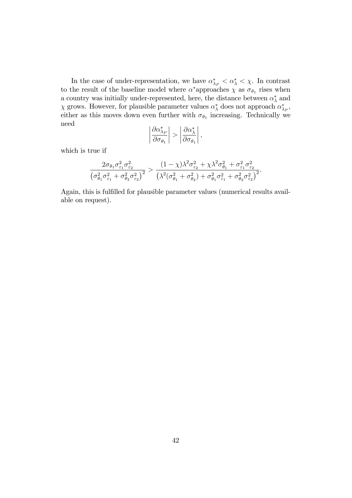In the case of under-representation, we have  $\alpha_{\lambda_P}^* < \alpha_{\lambda}^* < \chi$ . In contrast to the result of the baseline model where  $\alpha^*$  approaches  $\chi$  as  $\sigma_{\theta_1}$  rises when a country was initially under-represented, here, the distance between  $\alpha_{\lambda}^{*}$  and  $\chi$  grows. However, for plausible parameter values  $\alpha_{\lambda}^{*}$  does not approach  $\alpha_{\lambda_P}^{*}$ , either as this moves down even further with  $\sigma_{\theta_1}$  increasing. Technically we need  $\overline{\phantom{a}}$ 

$$
\left|\frac{\partial \alpha_{\lambda_P}^*}{\partial \sigma_{\theta_1}}\right| > \left|\frac{\partial \alpha_{\lambda}^*}{\partial \sigma_{\theta_1}}\right|,
$$

which is true if

$$
\frac{2\sigma_{\theta_1}\sigma_{\varepsilon_1}^2\sigma_{\varepsilon_2}^2}{\left(\sigma_{\theta_1}^2\sigma_{\varepsilon_1}^2 + \sigma_{\theta_2}^2\sigma_{\varepsilon_2}^2\right)^2} > \frac{(1-\chi)\lambda^2\sigma_{\varepsilon_2}^2 + \chi\lambda^2\sigma_{\theta_1}^2 + \sigma_{\varepsilon_1}^2\sigma_{\varepsilon_2}^2}{\left(\lambda^2(\sigma_{\theta_1}^2 + \sigma_{\theta_2}^2) + \sigma_{\theta_1}^2\sigma_{\varepsilon_1}^2 + \sigma_{\theta_2}^2\sigma_{\varepsilon_2}^2\right)^2}.
$$

Again, this is fulfilled for plausible parameter values (numerical results available on request).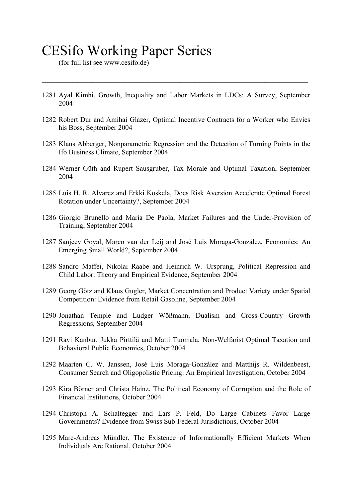# CESifo Working Paper Series

(for full list see www.cesifo.de)

1281 Ayal Kimhi, Growth, Inequality and Labor Markets in LDCs: A Survey, September 2004

 $\mathcal{L}_\mathcal{L} = \{ \mathcal{L}_\mathcal{L} = \{ \mathcal{L}_\mathcal{L} = \{ \mathcal{L}_\mathcal{L} = \{ \mathcal{L}_\mathcal{L} = \{ \mathcal{L}_\mathcal{L} = \{ \mathcal{L}_\mathcal{L} = \{ \mathcal{L}_\mathcal{L} = \{ \mathcal{L}_\mathcal{L} = \{ \mathcal{L}_\mathcal{L} = \{ \mathcal{L}_\mathcal{L} = \{ \mathcal{L}_\mathcal{L} = \{ \mathcal{L}_\mathcal{L} = \{ \mathcal{L}_\mathcal{L} = \{ \mathcal{L}_\mathcal{$ 

- 1282 Robert Dur and Amihai Glazer, Optimal Incentive Contracts for a Worker who Envies his Boss, September 2004
- 1283 Klaus Abberger, Nonparametric Regression and the Detection of Turning Points in the Ifo Business Climate, September 2004
- 1284 Werner Güth and Rupert Sausgruber, Tax Morale and Optimal Taxation, September 2004
- 1285 Luis H. R. Alvarez and Erkki Koskela, Does Risk Aversion Accelerate Optimal Forest Rotation under Uncertainty?, September 2004
- 1286 Giorgio Brunello and Maria De Paola, Market Failures and the Under-Provision of Training, September 2004
- 1287 Sanjeev Goyal, Marco van der Leij and José Luis Moraga-González, Economics: An Emerging Small World?, September 2004
- 1288 Sandro Maffei, Nikolai Raabe and Heinrich W. Ursprung, Political Repression and Child Labor: Theory and Empirical Evidence, September 2004
- 1289 Georg Götz and Klaus Gugler, Market Concentration and Product Variety under Spatial Competition: Evidence from Retail Gasoline, September 2004
- 1290 Jonathan Temple and Ludger Wößmann, Dualism and Cross-Country Growth Regressions, September 2004
- 1291 Ravi Kanbur, Jukka Pirttilä and Matti Tuomala, Non-Welfarist Optimal Taxation and Behavioral Public Economics, October 2004
- 1292 Maarten C. W. Janssen, José Luis Moraga-González and Matthijs R. Wildenbeest, Consumer Search and Oligopolistic Pricing: An Empirical Investigation, October 2004
- 1293 Kira Börner and Christa Hainz, The Political Economy of Corruption and the Role of Financial Institutions, October 2004
- 1294 Christoph A. Schaltegger and Lars P. Feld, Do Large Cabinets Favor Large Governments? Evidence from Swiss Sub-Federal Jurisdictions, October 2004
- 1295 Marc-Andreas Mündler, The Existence of Informationally Efficient Markets When Individuals Are Rational, October 2004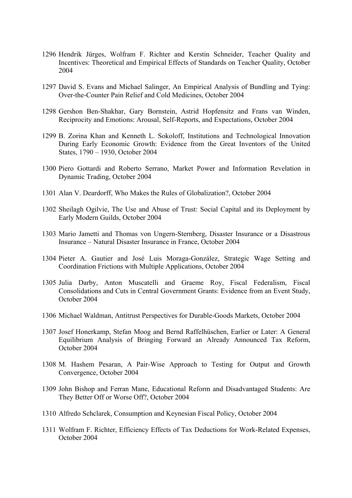- 1296 Hendrik Jürges, Wolfram F. Richter and Kerstin Schneider, Teacher Quality and Incentives: Theoretical and Empirical Effects of Standards on Teacher Quality, October 2004
- 1297 David S. Evans and Michael Salinger, An Empirical Analysis of Bundling and Tying: Over-the-Counter Pain Relief and Cold Medicines, October 2004
- 1298 Gershon Ben-Shakhar, Gary Bornstein, Astrid Hopfensitz and Frans van Winden, Reciprocity and Emotions: Arousal, Self-Reports, and Expectations, October 2004
- 1299 B. Zorina Khan and Kenneth L. Sokoloff, Institutions and Technological Innovation During Early Economic Growth: Evidence from the Great Inventors of the United States, 1790 – 1930, October 2004
- 1300 Piero Gottardi and Roberto Serrano, Market Power and Information Revelation in Dynamic Trading, October 2004
- 1301 Alan V. Deardorff, Who Makes the Rules of Globalization?, October 2004
- 1302 Sheilagh Ogilvie, The Use and Abuse of Trust: Social Capital and its Deployment by Early Modern Guilds, October 2004
- 1303 Mario Jametti and Thomas von Ungern-Sternberg, Disaster Insurance or a Disastrous Insurance – Natural Disaster Insurance in France, October 2004
- 1304 Pieter A. Gautier and José Luis Moraga-González, Strategic Wage Setting and Coordination Frictions with Multiple Applications, October 2004
- 1305 Julia Darby, Anton Muscatelli and Graeme Roy, Fiscal Federalism, Fiscal Consolidations and Cuts in Central Government Grants: Evidence from an Event Study, October 2004
- 1306 Michael Waldman, Antitrust Perspectives for Durable-Goods Markets, October 2004
- 1307 Josef Honerkamp, Stefan Moog and Bernd Raffelhüschen, Earlier or Later: A General Equilibrium Analysis of Bringing Forward an Already Announced Tax Reform, October 2004
- 1308 M. Hashem Pesaran, A Pair-Wise Approach to Testing for Output and Growth Convergence, October 2004
- 1309 John Bishop and Ferran Mane, Educational Reform and Disadvantaged Students: Are They Better Off or Worse Off?, October 2004
- 1310 Alfredo Schclarek, Consumption and Keynesian Fiscal Policy, October 2004
- 1311 Wolfram F. Richter, Efficiency Effects of Tax Deductions for Work-Related Expenses, October 2004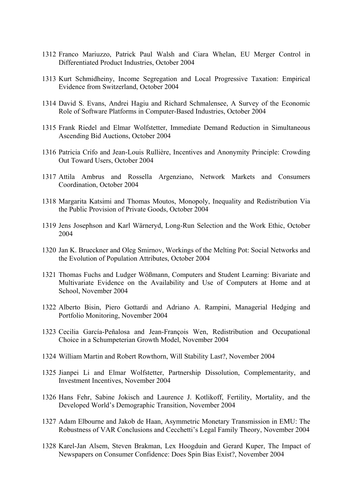- 1312 Franco Mariuzzo, Patrick Paul Walsh and Ciara Whelan, EU Merger Control in Differentiated Product Industries, October 2004
- 1313 Kurt Schmidheiny, Income Segregation and Local Progressive Taxation: Empirical Evidence from Switzerland, October 2004
- 1314 David S. Evans, Andrei Hagiu and Richard Schmalensee, A Survey of the Economic Role of Software Platforms in Computer-Based Industries, October 2004
- 1315 Frank Riedel and Elmar Wolfstetter, Immediate Demand Reduction in Simultaneous Ascending Bid Auctions, October 2004
- 1316 Patricia Crifo and Jean-Louis Rullière, Incentives and Anonymity Principle: Crowding Out Toward Users, October 2004
- 1317 Attila Ambrus and Rossella Argenziano, Network Markets and Consumers Coordination, October 2004
- 1318 Margarita Katsimi and Thomas Moutos, Monopoly, Inequality and Redistribution Via the Public Provision of Private Goods, October 2004
- 1319 Jens Josephson and Karl Wärneryd, Long-Run Selection and the Work Ethic, October 2004
- 1320 Jan K. Brueckner and Oleg Smirnov, Workings of the Melting Pot: Social Networks and the Evolution of Population Attributes, October 2004
- 1321 Thomas Fuchs and Ludger Wößmann, Computers and Student Learning: Bivariate and Multivariate Evidence on the Availability and Use of Computers at Home and at School, November 2004
- 1322 Alberto Bisin, Piero Gottardi and Adriano A. Rampini, Managerial Hedging and Portfolio Monitoring, November 2004
- 1323 Cecilia García-Peñalosa and Jean-François Wen, Redistribution and Occupational Choice in a Schumpeterian Growth Model, November 2004
- 1324 William Martin and Robert Rowthorn, Will Stability Last?, November 2004
- 1325 Jianpei Li and Elmar Wolfstetter, Partnership Dissolution, Complementarity, and Investment Incentives, November 2004
- 1326 Hans Fehr, Sabine Jokisch and Laurence J. Kotlikoff, Fertility, Mortality, and the Developed World's Demographic Transition, November 2004
- 1327 Adam Elbourne and Jakob de Haan, Asymmetric Monetary Transmission in EMU: The Robustness of VAR Conclusions and Cecchetti's Legal Family Theory, November 2004
- 1328 Karel-Jan Alsem, Steven Brakman, Lex Hoogduin and Gerard Kuper, The Impact of Newspapers on Consumer Confidence: Does Spin Bias Exist?, November 2004